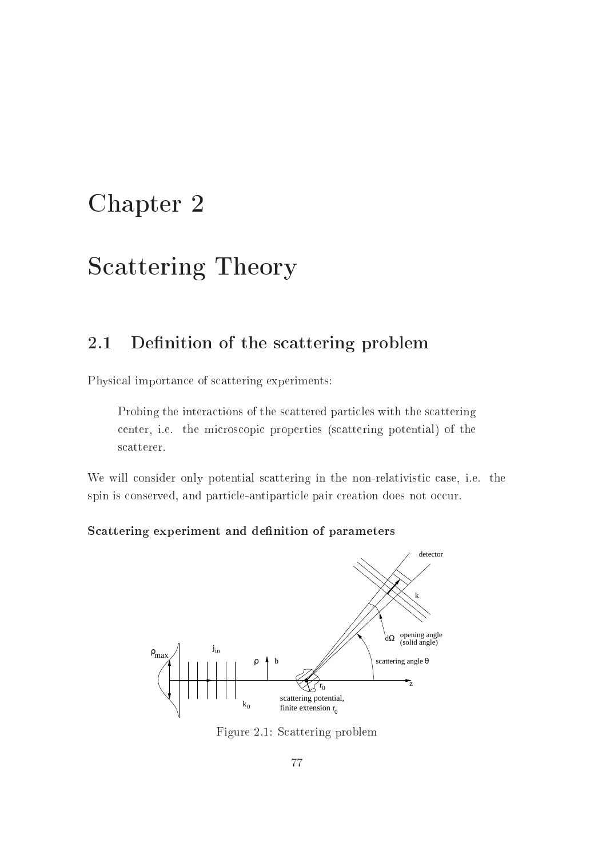# Chapter <sup>2</sup>

# S
attering Theory

#### 2.1 Definition of the scattering problem

Physi
al importan
e of s
attering experiments:

Probing the interactions of the scattered particles with the scattering center, *i.e.* the microscopic properties (scattering potential) of the s
atterer.

We will consider only potential scattering in the non-relativistic case, i.e. the spin is conserved, and particle-antiparticle pair creation does not occur.

#### S
attering experiment and denition of parameters



Figure 2.1: S
attering problem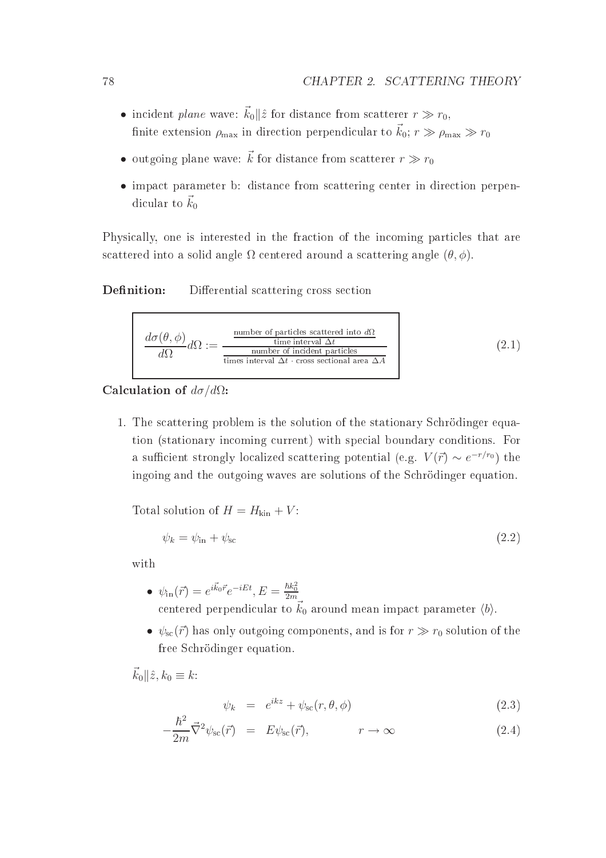- incident plane wave:  $\vec{k}_0 || \hat{z}$  for distance from scatterer  $r \gg r_0$ , finite extension  $\rho_{\text{max}}$  in direction perpendicular to  $\vec{k}_0$ ;  $r \gg \rho_{\text{max}} \gg r_0$
- $\bullet\,$  outgoing plane wave:  $\vec{k}$  for distance from scatterer  $r\gg r_0$
- impact parameter b: distance from scattering center in direction perpendicular to  $\vec{k}_0$

Physically, one is interested in the fraction of the incoming particles that are scattered into a solid angle  $\Omega$  centered around a scattering angle  $(\theta, \phi)$ .

#### Definition: Differential scattering cross section

$$
\frac{d\sigma(\theta,\phi)}{d\Omega}d\Omega := \frac{\frac{\text{number of particles scattered into }d\Omega}{\text{time interval }\Delta t}}{\frac{\text{number of incident particles}}{\text{times interval }\Delta t \cdot \text{cross sectional area }\Delta A}}
$$
(2.1)

## Calculation of  $d\sigma/d\Omega$ :

1. The s
attering problem is the solution of the stationary S
hrödinger equation (stationary incoming current) with special boundary conditions. For a sufficient strongly localized scattering potential (e.g.  $V(\vec{r}) \sim e^{-r/r_0}$ ) the ingoing and the outgoing waves are solutions of the S
hrödinger equation.

Total solution of  $H = H_{kin} + V$ :

$$
\psi_k = \psi_{\rm in} + \psi_{\rm sc} \tag{2.2}
$$

with

- $\psi_{\rm in}(\vec{r}) = e^{i\vec{k}_0\vec{r}}e^{-iEt}, E = \frac{\hbar k_0^2}{2m}$ centered perpendicular to  $\vec{k}_0$  around mean impact parameter  $\langle b \rangle$ .
- $\psi_{sc}(\vec{r})$  has only outgoing components, and is for  $r \gg r_0$  solution of the free S
hrödinger equation.

 $\vec{k}_0 \parallel \hat{z}, k_0 \equiv k$ :

$$
\psi_k = e^{ikz} + \psi_{\rm sc}(r, \theta, \phi) \tag{2.3}
$$

$$
-\frac{\hbar^2}{2m}\vec{\nabla}^2\psi_{\rm sc}(\vec{r}) = E\psi_{\rm sc}(\vec{r}), \qquad \qquad r \to \infty \tag{2.4}
$$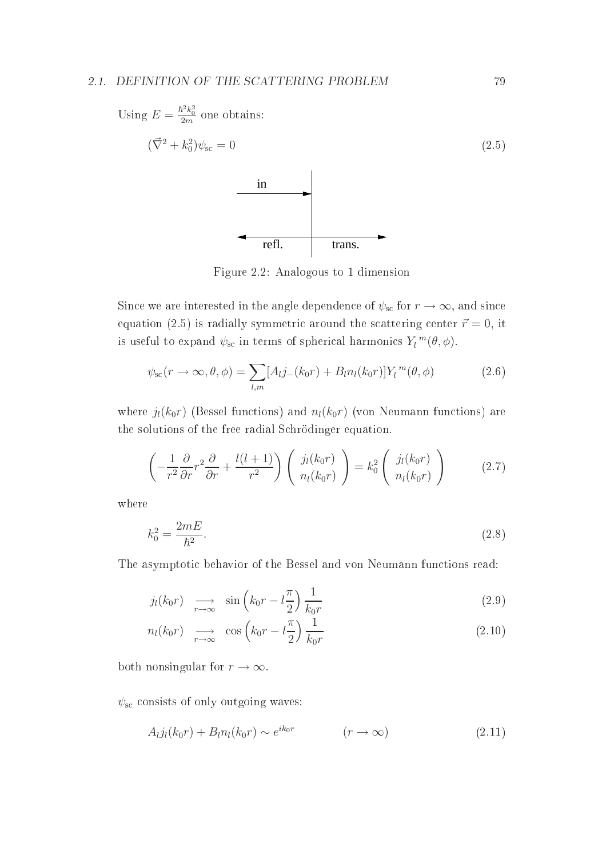#### 2.1. DEFINITION OF THE SCATTERING PROBLEM 79



Figure 2.2: Analogous to 1 dimension

Since we are interested in the angle dependence of  $\psi_{\rm sc}$  for  $r \to \infty$ , and since equation (2.5) is radially symmetric around the scattering center  $\vec{r} = 0$ , it is useful to expand  $\psi_{\rm sc}$  in terms of spherical harmonics  $Y_l^{\,m}(\theta,\phi)$ .

$$
\psi_{\rm sc}(r \to \infty, \theta, \phi) = \sum_{l,m} [A_l j_-(k_0 r) + B_l n_l(k_0 r)] Y_l^m(\theta, \phi)
$$
\n(2.6)

where  $j_l(k_0r)$  (Bessel functions) and  $n_l(k_0r)$  (von Neumann functions) are the solutions of the free radial S
hrödinger equation.

$$
\left(-\frac{1}{r^2}\frac{\partial}{\partial r}r^2\frac{\partial}{\partial r} + \frac{l(l+1)}{r^2}\right)\left(\begin{array}{c}j_l(k_0r)\\n_l(k_0r)\end{array}\right) = k_0^2\left(\begin{array}{c}j_l(k_0r)\\n_l(k_0r)\end{array}\right) \tag{2.7}
$$

where

$$
k_0^2 = \frac{2mE}{\hbar^2}.\tag{2.8}
$$

The asymptotic behavior of the Bessel and von Neumann functions read:

$$
j_l(k_0r) \quad \underset{r \to \infty}{\longrightarrow} \quad \sin\left(k_0r - l\frac{\pi}{2}\right)\frac{1}{k_0r} \tag{2.9}
$$

$$
n_l(k_0r) \quad \longrightarrow_{r \to \infty} \quad \cos\left(k_0r - l\frac{\pi}{2}\right)\frac{1}{k_0r} \tag{2.10}
$$

both nonsingular for  $r \to \infty$ .

 $\psi_{\rm sc}$  consists of only outgoing waves:

$$
A_{l}j_{l}(k_{0}r) + B_{l}n_{l}(k_{0}r) \sim e^{ik_{0}r} \qquad (r \to \infty)
$$
\n(2.11)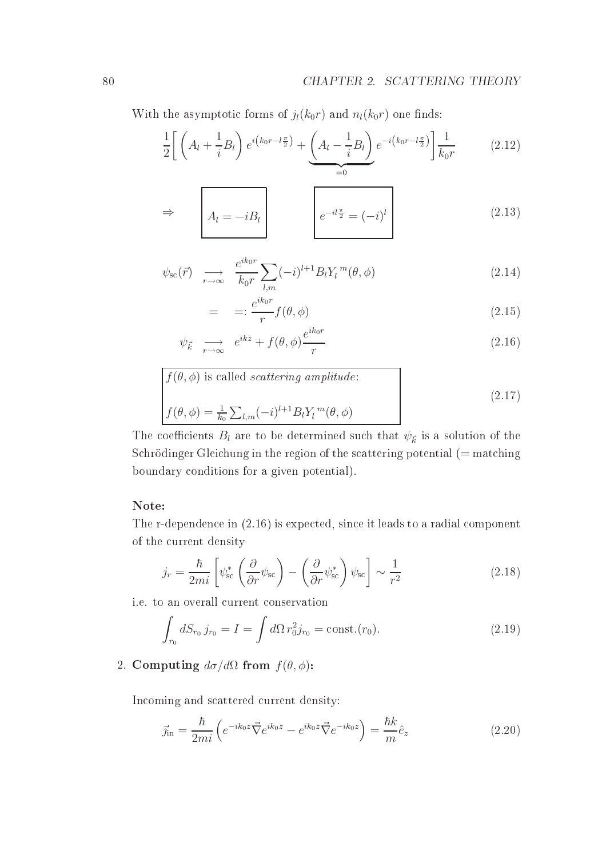With the asymptotic forms of  $j_l(k_0r)$  and  $n_l(k_0r)$  one finds:

$$
\frac{1}{2}\left[\left(A_l + \frac{1}{i}B_l\right)e^{i\left(k_0r - l\frac{\pi}{2}\right)} + \underbrace{\left(A_l - \frac{1}{i}B_l\right)}_{=0}e^{-i\left(k_0r - l\frac{\pi}{2}\right)}\right]\frac{1}{k_0r} \tag{2.12}
$$

$$
\Rightarrow \qquad A_l = -iB_l \qquad \qquad e^{-il\frac{\pi}{2}} = (-i)^l \qquad (2.13)
$$

$$
\psi_{\rm sc}(\vec{r}) \quad \underset{r \to \infty}{\longrightarrow} \quad \frac{e^{ik_0 r}}{k_0 r} \sum_{l,m} (-i)^{l+1} B_l Y_l^m(\theta, \phi) \tag{2.14}
$$

$$
= \quad = \quad \frac{e^{ik_0r}}{r} f(\theta, \phi) \tag{2.15}
$$

$$
\psi_{\vec{k}} \quad \underset{r \to \infty}{\longrightarrow} \quad e^{ikz} + f(\theta, \phi) \frac{e^{ik_0 r}}{r} \tag{2.16}
$$

$$
f(\theta, \phi) \text{ is called } scattering \text{ amplitude:}
$$
\n
$$
f(\theta, \phi) = \frac{1}{k_0} \sum_{l,m} (-i)^{l+1} B_l Y_l^m(\theta, \phi)
$$
\n
$$
(2.17)
$$

The coefficients  $B_l$  are to be determined such that  $\psi_{\vec{k}}$  is a solution of the Schrödinger Gleichung in the region of the scattering potential (= matching boundary onditions for a given potential).

The r-dependen
e in (2.16) is expe
ted, sin
e it leads to a radial omponent of the urrent density

$$
j_r = \frac{\hbar}{2mi} \left[ \psi_{\rm sc}^* \left( \frac{\partial}{\partial r} \psi_{\rm sc} \right) - \left( \frac{\partial}{\partial r} \psi_{\rm sc}^* \right) \psi_{\rm sc} \right] \sim \frac{1}{r^2}
$$
 (2.18)

i.e. to an overall urrent onservation

$$
\int_{r_0} dS_{r_0} j_{r_0} = I = \int d\Omega \, r_0^2 j_{r_0} = \text{const.}(r_0). \tag{2.19}
$$

# 2. Computing  $d\sigma/d\Omega$  from  $f(\theta, \phi)$ :

In
oming and s
attered urrent density:

$$
\vec{j}_{\text{in}} = \frac{\hbar}{2mi} \left( e^{-ik_0 z} \vec{\nabla} e^{ik_0 z} - e^{ik_0 z} \vec{\nabla} e^{-ik_0 z} \right) = \frac{\hbar k}{m} \hat{e}_z \tag{2.20}
$$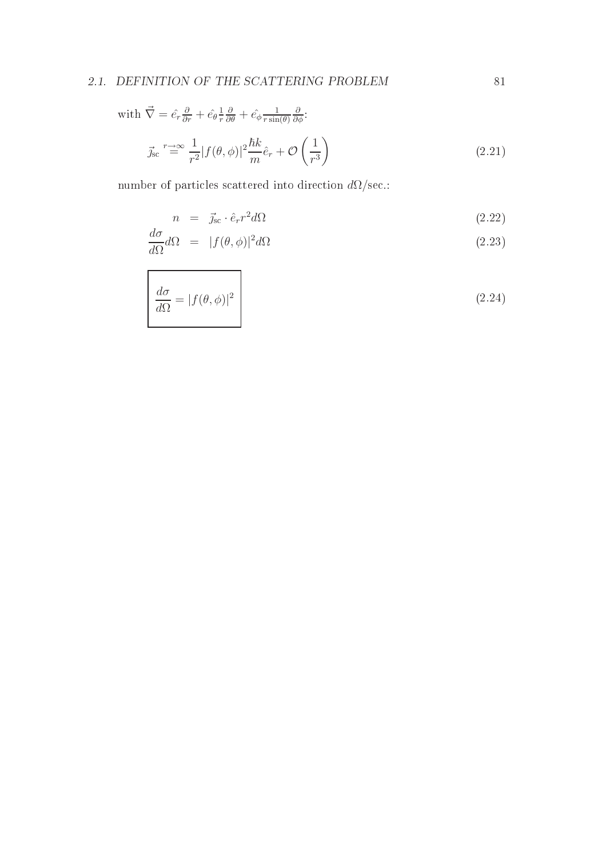# 2.1. DEFINITION OF THE SCATTERING PROBLEM  $81$

with 
$$
\vec{\nabla} = \hat{e}_r \frac{\partial}{\partial r} + \hat{e}_\theta \frac{1}{r} \frac{\partial}{\partial \theta} + \hat{e}_\phi \frac{1}{r \sin(\theta)} \frac{\partial}{\partial \phi}
$$
:  
\n
$$
\vec{j}_{\rm sc} \stackrel{r \to \infty}{=} \frac{1}{r^2} |f(\theta, \phi)|^2 \frac{\hbar k}{m} \hat{e}_r + \mathcal{O}\left(\frac{1}{r^3}\right)
$$
\n(2.21)

number of particles scattered into direction  $d\Omega/\text{sec}$ .:

$$
n = \vec{j}_{\rm sc} \cdot \hat{e}_r r^2 d\Omega \tag{2.22}
$$

$$
\frac{d\sigma}{d\Omega}d\Omega = |f(\theta,\phi)|^2 d\Omega \tag{2.23}
$$

$$
\frac{d\sigma}{d\Omega} = |f(\theta, \phi)|^2 \tag{2.24}
$$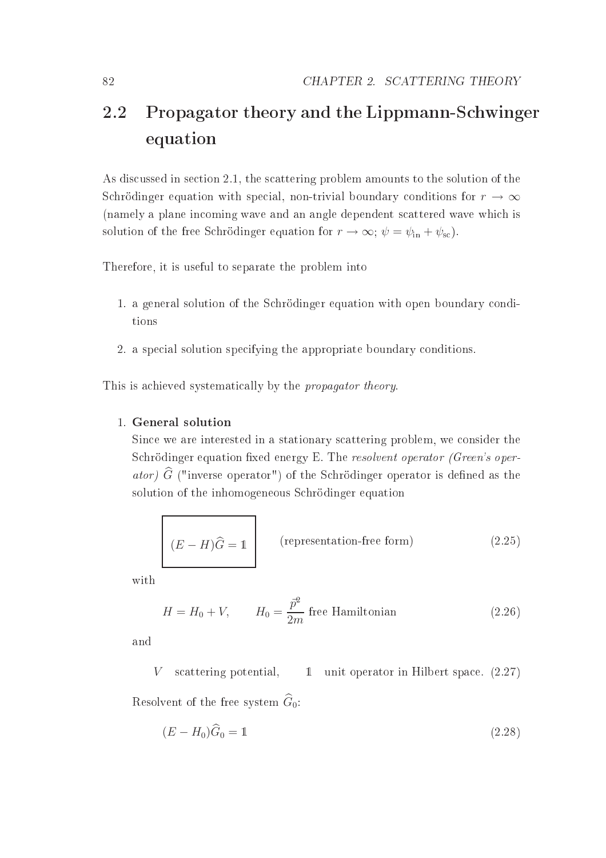# 2.2 Propagator theory and the Lippmann-Schwinger  $\sim$  equations are  $\sim$

As discussed in section 2.1, the scattering problem amounts to the solution of the Schrödinger equation with special, non-trivial boundary conditions for  $r \to \infty$ (namely a plane in
oming wave and an angle dependent s
attered wave whi
h is solution of the free Schrödinger equation for  $r \to \infty$ ;  $\psi = \psi_{\text{in}} + \psi_{\text{sc}}$ .

Therefore, it is useful to separate the problem into

- 1. a general solution of the Schrödinger equation with open boundary conditions
- 2. a spe
ial solution spe
ifying the appropriate boundary onditions.

This is achieved systematically by the *propagator theory*.

#### 1. General solution

Since we are interested in a stationary scattering problem, we consider the Schrödinger equation fixed energy E. The resolvent operator (Green's oper*ator*)  $G$  ("inverse operator") of the Schrödinger operator is defined as the solution of the inhomogeneous S
hrödinger equation

$$
(E - H)\hat{G} = 1
$$
 (representation-free form) \t(2.25)

with

$$
H = H_0 + V, \qquad H_0 = \frac{\bar{p}^2}{2m} \text{ free Hamiltonian} \tag{2.26}
$$

and

V scattering potential, 1 unit operator in Hilbert space.  $(2.27)$ Resolvent of the free system  $\widehat{G}_0$ :

$$
(E - H_0)\widehat{G}_0 = 1\tag{2.28}
$$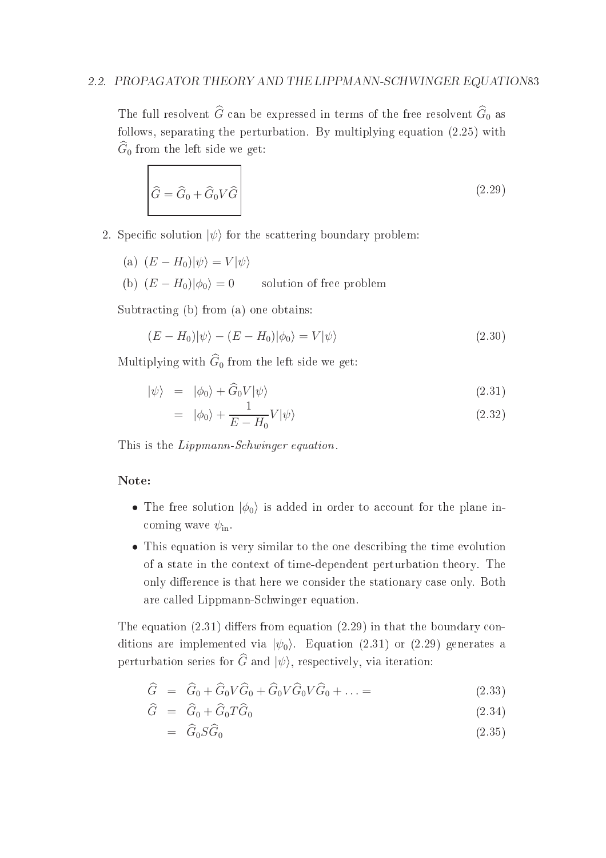## 2.2. PROPAGATOR THEORY AND THE LIPPMANN-SCHWINGER EQUATION83

The full resolvent  $\widehat{G}$  can be expressed in terms of the free resolvent  $\widehat{G}_0$  as follows, separating the perturbation. By multiplying equation (2.25) with  $\hat{G}_0$  from the left side we get:

$$
\hat{G} = \hat{G}_0 + \hat{G}_0 V \hat{G}
$$
\n(2.29)

2. Specific solution  $|\psi\rangle$  for the scattering boundary problem:

(a)  $(E - H_0)|\psi\rangle = V|\psi\rangle$ (b)  $(E - H_0)|\phi_0\rangle = 0$  solution of free problem

Subtracting (b) from (a) one obtains:

$$
(E - H_0)|\psi\rangle - (E - H_0)|\phi_0\rangle = V|\psi\rangle \tag{2.30}
$$

Multiplying with  $\widehat{G}_0$  from the left side we get:

$$
|\psi\rangle = |\phi_0\rangle + \widehat{G}_0 V |\psi\rangle \tag{2.31}
$$

$$
= |\phi_0\rangle + \frac{1}{E - H_0} V |\psi\rangle \tag{2.32}
$$

This is the *Lippmann-Schwinger equation*.

- The free solution  $|\phi_0\rangle$  is added in order to account for the plane incoming wave  $\psi_{\rm in}$ .
- This equation is very similar to the one describing the time evolution of a state in the ontext of time-dependent perturbation theory. The only difference is that here we consider the stationary case only. Both are alled Lippmann-S
hwinger equation.

The equation  $(2.31)$  differs from equation  $(2.29)$  in that the boundary conditions are implemented via  $|\psi_0\rangle$ . Equation (2.31) or (2.29) generates a perturbation series for  $\widehat{G}$  and  $|\psi\rangle$ , respectively, via iteration:

$$
\widehat{G} = \widehat{G}_0 + \widehat{G}_0 V \widehat{G}_0 + \widehat{G}_0 V \widehat{G}_0 V \widehat{G}_0 + \dots = \tag{2.33}
$$

$$
\widehat{G} = \widehat{G}_0 + \widehat{G}_0 T \widehat{G}_0 \tag{2.34}
$$

$$
= \widehat{G}_0 S \widehat{G}_0 \tag{2.35}
$$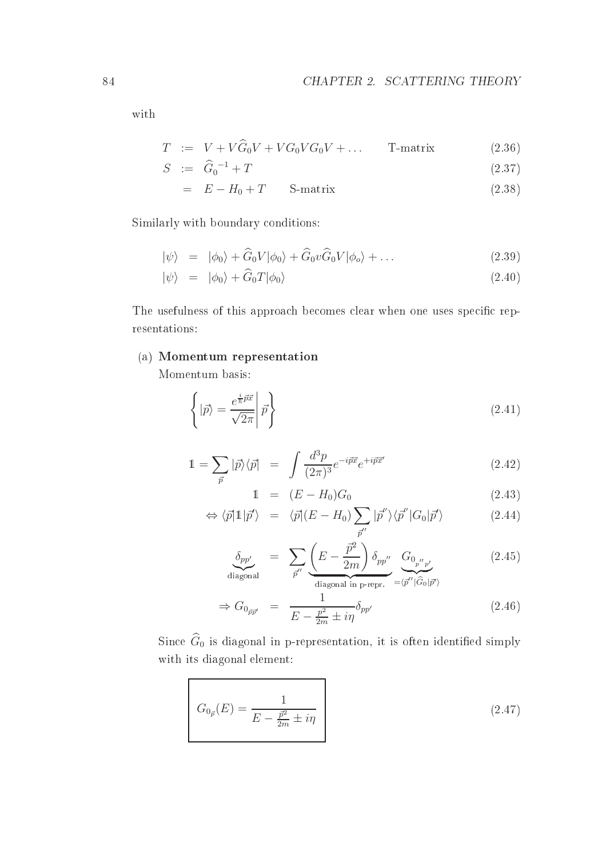with

$$
T \quad := \quad V + V\widehat{G}_0V + VG_0VG_0V + \dots \qquad \text{T-matrix} \tag{2.36}
$$

$$
S \quad := \quad \widehat{G}_0^{-1} + T \tag{2.37}
$$

$$
= E - H_0 + T \qquad \text{S-matrix} \tag{2.38}
$$

Similarly with boundary onditions:

$$
|\psi\rangle = |\phi_0\rangle + \widehat{G}_0 V |\phi_0\rangle + \widehat{G}_0 v \widehat{G}_0 V |\phi_0\rangle + \dots
$$
\n(2.39)

$$
|\psi\rangle = |\phi_0\rangle + \widehat{G}_0 T |\phi_0\rangle \tag{2.40}
$$

The usefulness of this approach becomes clear when one uses specific representations:

# (a) Momentum representation

Momentum basis:

$$
\left\{ |\vec{p}\rangle = \frac{e^{\frac{i}{\hbar}\vec{p}\vec{x}}}{\sqrt{2\pi}} \middle| \vec{p} \right\} \tag{2.41}
$$

$$
\mathbb{1} = \sum_{\vec{p}} |\vec{p}\rangle\langle\vec{p}| = \int \frac{d^3p}{(2\pi)^3} e^{-i\vec{p}\vec{x}} e^{+i\vec{p}\vec{x}'} \tag{2.42}
$$

$$
1 = (E - H_0)G_0 \tag{2.43}
$$

$$
\Leftrightarrow \langle \vec{p} | \mathbb{1} | \vec{p}' \rangle = \langle \vec{p} | (E - H_0) \sum_{\vec{p}''} | \vec{p}'' \rangle \langle \vec{p}'' | G_0 | \vec{p}' \rangle \tag{2.44}
$$

$$
\underbrace{\delta_{pp'}}_{\text{diagonal}} = \sum_{\vec{p}''} \underbrace{\left(E - \frac{\vec{p}^2}{2m}\right) \delta_{pp''}}_{\text{diagonal in p-repr.}} \underbrace{G_{0_{p''p'}}}_{\text{= }\langle \vec{p}'' | \hat{G}_0 | \vec{p}' \rangle} \tag{2.45}
$$

$$
\Rightarrow G_{0_{\vec{p}\vec{p}'}} = \frac{1}{E - \frac{p^2}{2m} \pm i\eta} \delta_{pp'} \tag{2.46}
$$

Since  $\widehat{G}_0$  is diagonal in p-representation, it is often identified simply with its diagonal element:

$$
G_{0_{\vec{p}}}(E) = \frac{1}{E - \frac{\vec{p}^2}{2m} \pm i\eta} \tag{2.47}
$$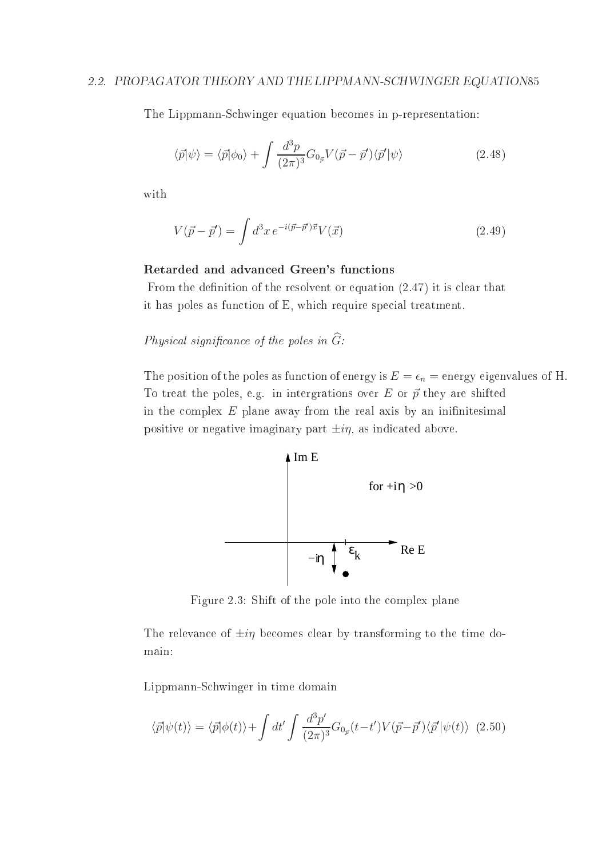#### 2.2. PROPAGATOR THEORY AND THE LIPPMANN-SCHWINGER EQUATION85

The Lippmann-S
hwinger equation be
omes in p-representation:

$$
\langle \vec{p} | \psi \rangle = \langle \vec{p} | \phi_0 \rangle + \int \frac{d^3 p}{(2\pi)^3} G_{0\vec{p}} V(\vec{p} - \vec{p}') \langle \vec{p}' | \psi \rangle \tag{2.48}
$$

with

$$
V(\vec{p} - \vec{p}') = \int d^3x \, e^{-i(\vec{p} - \vec{p}')\vec{x}} V(\vec{x}) \tag{2.49}
$$

#### Retarded and advan
ed Green's fun
tions

From the definition of the resolvent or equation  $(2.47)$  it is clear that it has poles as function of E, which require special treatment.

 $Physical$  significance of the poles in  $G$ :

The position of the poles as function of energy is  $E = \epsilon_n =$  energy eigenvalues of H. To treat the poles, e.g. in intergrations over E or  $\vec{p}$  they are shifted in the complex  $E$  plane away from the real axis by an inifinitesimal positive or negative imaginary part  $\pm i\eta$ , as indicated above.



Figure 2.3: Shift of the pole into the omplex plane

The relevance of  $\pm i\eta$  becomes clear by transforming to the time domain:

Lippmann-S
hwinger in time domain

$$
\langle \vec{p} | \psi(t) \rangle = \langle \vec{p} | \phi(t) \rangle + \int dt' \int \frac{d^3 p'}{(2\pi)^3} G_{0\vec{p}}(t - t') V(\vec{p} - \vec{p}') \langle \vec{p}' | \psi(t) \rangle \tag{2.50}
$$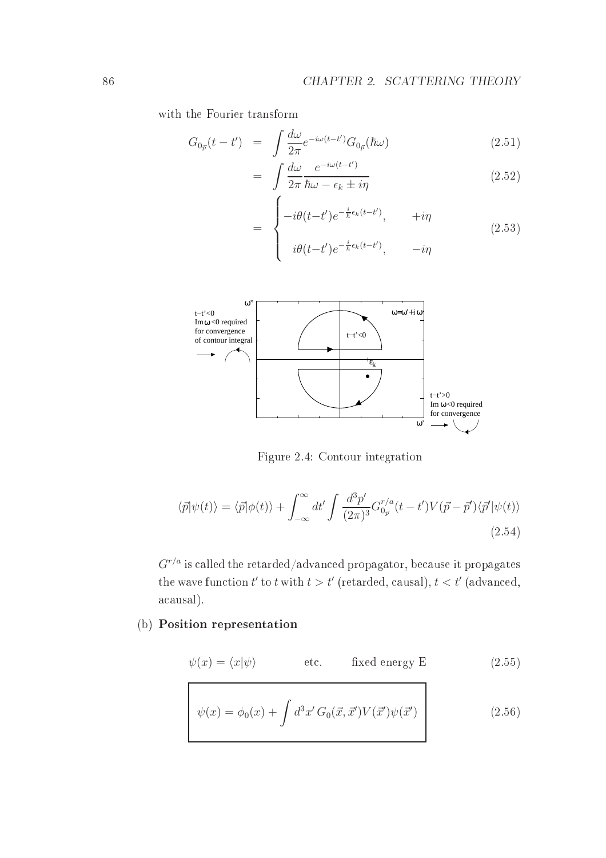with the Fourier transform

$$
G_{0_{\vec{p}}}(t-t') = \int \frac{d\omega}{2\pi} e^{-i\omega(t-t')} G_{0_{\vec{p}}}(\hbar\omega)
$$
\n(2.51)

$$
= \int \frac{d\omega}{2\pi} \frac{e^{-i\omega(t-t')}}{\hbar\omega - \epsilon_k \pm i\eta}
$$
 (2.52)

$$
= \begin{cases}\n-i\theta(t-t')e^{-\frac{i}{\hbar}\epsilon_k(t-t')}, & +i\eta \\
i\theta(t-t')e^{-\frac{i}{\hbar}\epsilon_k(t-t')}, & -i\eta\n\end{cases}
$$
\n(2.53)



Figure 2.4: Contour integration

$$
\langle \vec{p} | \psi(t) \rangle = \langle \vec{p} | \phi(t) \rangle + \int_{-\infty}^{\infty} dt' \int \frac{d^3 p'}{(2\pi)^3} G_{0\vec{p}}^{r/a}(t - t') V(\vec{p} - \vec{p}') \langle \vec{p}' | \psi(t) \rangle
$$
\n(2.54)

 $G^{r/a}$  is called the retarded/advanced propagator, because it propagates the wave function  $t'$  to  $t$  with  $t > t'$  (retarded, causal),  $t < t'$  (advanced, acausal).

# (b) Position representation

$$
\psi(x) = \langle x | \psi \rangle \qquad \text{etc.} \qquad \text{fixed energy E} \tag{2.55}
$$

$$
\psi(x) = \phi_0(x) + \int d^3x' G_0(\vec{x}, \vec{x}') V(\vec{x}') \psi(\vec{x}')
$$
\n(2.56)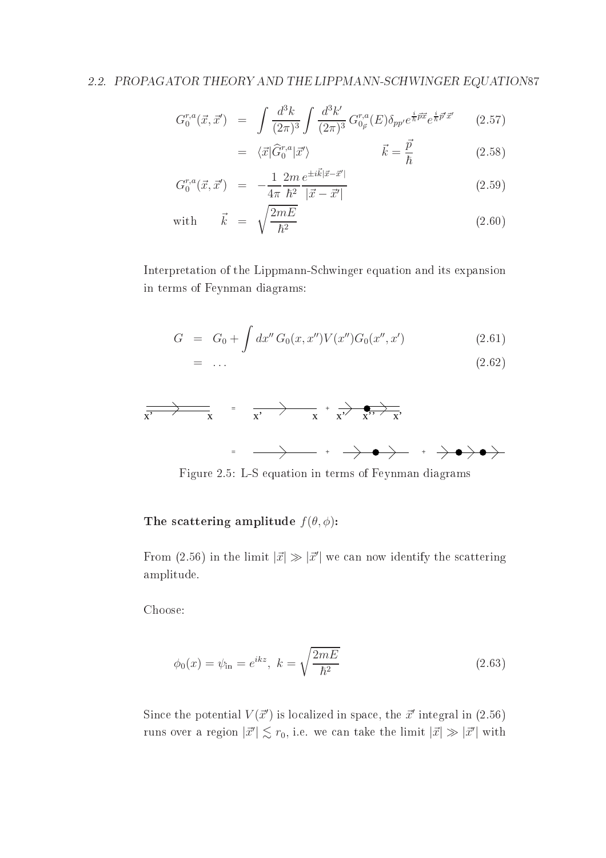$$
G_0^{r,a}(\vec{x}, \vec{x}') = \int \frac{d^3k}{(2\pi)^3} \int \frac{d^3k'}{(2\pi)^3} G_{0\vec{p}}^{r,a}(E) \delta_{pp'} e^{\frac{i}{\hbar} \vec{p} \vec{x}} e^{\frac{i}{\hbar} \vec{p}' \vec{x}'} \qquad (2.57)
$$

$$
= \langle \vec{x} | \hat{G}_0^{r,a} | \vec{x}' \rangle \qquad \qquad \vec{k} = \frac{\vec{p}}{\hbar} \qquad (2.58)
$$

$$
G_0^{r,a}(\vec{x}, \vec{x}') = -\frac{1}{4\pi} \frac{2m}{\hbar^2} \frac{e^{\pm i\vec{k}|\vec{x} - \vec{x}'|}}{|\vec{x} - \vec{x}'|}
$$
(2.59)

with 
$$
\vec{k} = \sqrt{\frac{2mE}{\hbar^2}}
$$
 (2.60)

Interpretation of the Lippmann-S
hwinger equation and its expansion in terms of Feynman diagrams:

$$
G = G_0 + \int dx'' G_0(x, x'') V(x'') G_0(x'', x')
$$
 (2.61)

$$
= \ldots \tag{2.62}
$$



Figure 2.5: L-S equation in terms of Feynman diagrams

#### The scattering amplitude  $f(\theta, \phi)$ :

From (2.56) in the limit  $|\vec{x}| \gg |\vec{x}'|$  we can now identify the scattering amplitude.

Choose:

$$
\phi_0(x) = \psi_{\rm in} = e^{ikz}, \ k = \sqrt{\frac{2mE}{\hbar^2}}
$$
\n(2.63)

Since the potential  $V(\vec{x}')$  is localized in space, the  $\vec{x}'$  integral in (2.56) runs over a region  $|\vec{x}'| \lesssim r_0$ , i.e. we can take the limit  $|\vec{x}| \gg |\vec{x}'|$  with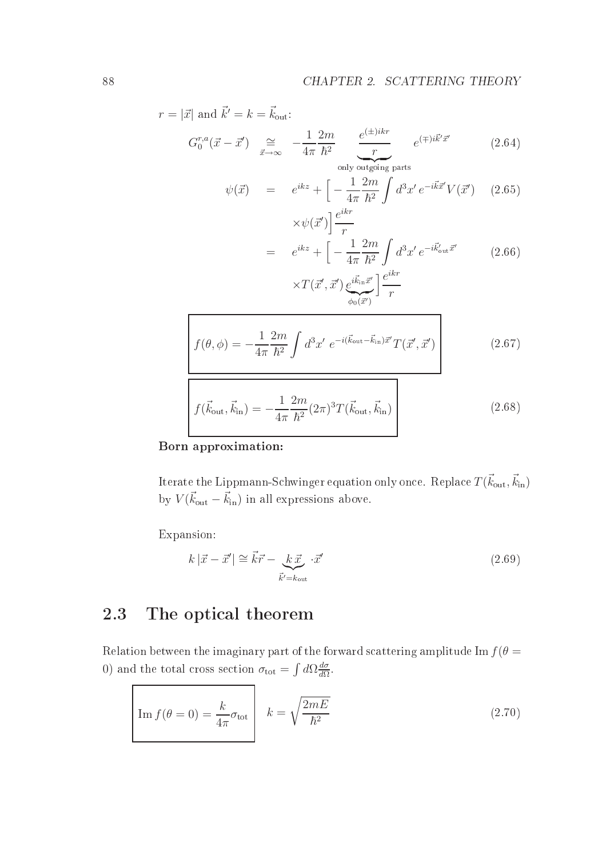$$
r = |\vec{x}| \text{ and } \vec{k}' = k = \vec{k}_{\text{out}}:
$$
  
\n
$$
G_0^{r,a}(\vec{x} - \vec{x}') \underset{\vec{x} \to \infty}{\cong} -\frac{1}{4\pi} \frac{2m}{\hbar^2} \underbrace{\underbrace{e^{(\pm)ikr}}_{\text{only outgoing parts}} e^{(\mp)i\vec{k}'\vec{x}'} \qquad (2.64)
$$
  
\n
$$
\psi(\vec{x}) = e^{ikz} + \left[ -\frac{1}{4\pi} \frac{2m}{\hbar^2} \int d^3x' e^{-i\vec{k}\vec{x}'} V(\vec{x}') \quad (2.65)
$$
  
\n
$$
\times \psi(\vec{x}') \right] \frac{e^{ikr}}{r}
$$
  
\n
$$
= e^{ikz} + \left[ -\frac{1}{4\pi} \frac{2m}{\hbar^2} \int d^3x' e^{-i\vec{k}'_{\text{out}}\vec{x}'} \quad (2.66)
$$
  
\n
$$
\times T(\vec{x}', \vec{x}') \underbrace{e^{i\vec{k}_{\text{in}}\vec{x}'} \right] \frac{e^{ikr}}{r}
$$
  
\n
$$
f(\theta, \phi) = -\frac{1}{4\pi} \frac{2m}{\hbar^2} \int d^3x' e^{-i(\vec{k}_{\text{out}} - \vec{k}_{\text{in}})\vec{x}'} T(\vec{x}', \vec{x}')
$$
  
\n
$$
f(\vec{k}_{\text{out}}, \vec{k}_{\text{in}}) = -\frac{1}{4\pi} \frac{2m}{\hbar^2} (2\pi)^3 T(\vec{k}_{\text{out}}, \vec{k}_{\text{in}})
$$
  
\n(2.68)

Born approximation:

Iterate the Lippmann-Schwinger equation only once. Replace  $T(\vec{k}_{\text{out}},\vec{k}_{\text{in}})$ by  $V(\vec{k}_{\text{out}} - \vec{k}_{\text{in}})$  in all expressions above.

Expansion:

'n

$$
k|\vec{x} - \vec{x}'| \cong \vec{k}\vec{r} - \underbrace{k\,\vec{x}}_{\vec{k}' = k_{\text{out}}} \cdot \vec{x}' \tag{2.69}
$$

#### 2.3The opti
al theorem

Relation between the imaginary part of the forward scattering amplitude Im  $f(\theta =$ 0) and the total cross section  $\sigma_{\text{tot}} = \int d\Omega \frac{d\sigma}{d\Omega}$  $d\Omega$  .

$$
\boxed{\text{Im } f(\theta = 0) = \frac{k}{4\pi} \sigma_{\text{tot}}} \quad k = \sqrt{\frac{2mE}{\hbar^2}} \tag{2.70}
$$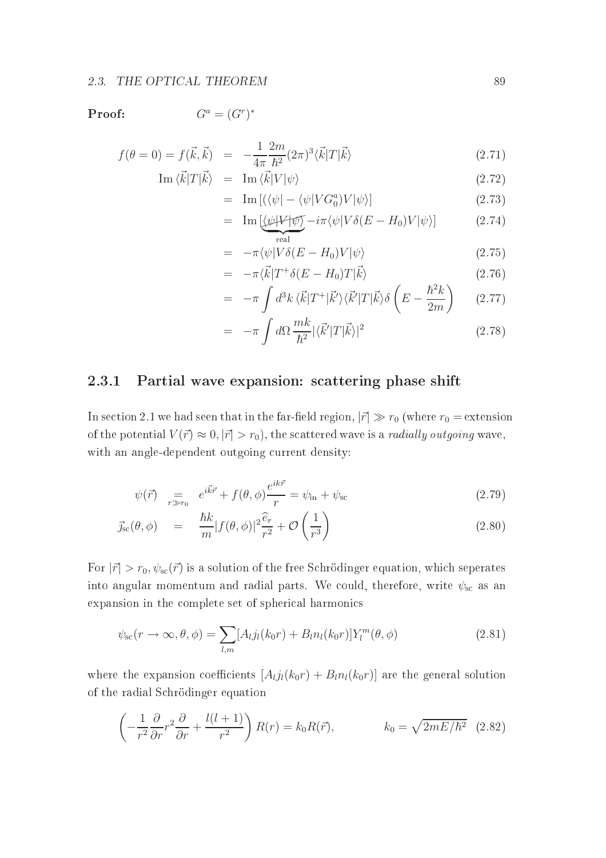#### Proof:

 $G^a = (G^r)^*$ 

$$
f(\theta = 0) = f(\vec{k}, \vec{k}) = -\frac{1}{4\pi} \frac{2m}{\hbar^2} (2\pi)^3 \langle \vec{k} | T | \vec{k} \rangle
$$
 (2.71)

$$
\operatorname{Im}\left\langle \vec{k}|T|\vec{k}\right\rangle = \operatorname{Im}\left\langle \vec{k}|V|\psi\right\rangle \tag{2.72}
$$

$$
= \operatorname{Im} \left[ \left( \langle \psi | - \langle \psi | V G_0^a \rangle V | \psi \rangle \right] \right] \tag{2.73}
$$

$$
= \operatorname{Im} \left[ \underbrace{\langle \psi | V | \psi \rangle}_{\text{real}} - i \pi \langle \psi | V \delta(E - H_0) V | \psi \rangle \right] \tag{2.74}
$$

$$
= -\pi \langle \psi | V \delta(E - H_0) V | \psi \rangle \tag{2.75}
$$

$$
= -\pi \langle \vec{k} | T^+ \delta(E - H_0) T | \vec{k} \rangle \tag{2.76}
$$
\n
$$
\int_{\mathbb{R}^3} \mathcal{L} \cdot \vec{E} \cdot \mathcal{L} \cdot \vec{k} \cdot \vec{k} \cdot \vec{k} \cdot \vec{k} \cdot \vec{k} \tag{2.77}
$$

$$
= -\pi \int d^3k \langle \vec{k} | T^+ | \vec{k}' \rangle \langle \vec{k}' | T | \vec{k} \rangle \delta \left( E - \frac{\hbar^2 k}{2m} \right) \qquad (2.77)
$$

$$
= -\pi \int d\Omega \frac{mk}{\hbar^2} |\langle \vec{k}' | T | \vec{k} \rangle|^2 \tag{2.78}
$$

#### 2.3.1Partial wave expansion: s
attering phase shift

In section 2.1 we had seen that in the far-field region,  $|\vec{r}| \gg r_0$  (where  $r_0 =$  extension of the potential  $V(\vec{r}) \approx 0, |\vec{r}| > r_0$ , the scattered wave is a *radially outgoing* wave, with an angle-dependent outgoing current density:

$$
\psi(\vec{r}) = e^{i\vec{k}\vec{r}} + f(\theta, \phi) \frac{e^{ik\vec{r}}}{r} = \psi_{\text{in}} + \psi_{\text{sc}}
$$
\n(2.79)

$$
\vec{j}_{\rm sc}(\theta,\phi) = \frac{\hbar k}{m} |f(\theta,\phi)|^2 \frac{\widehat{e}_r}{r^2} + \mathcal{O}\left(\frac{1}{r^3}\right)
$$
\n(2.80)

For  $|\vec{r}| > r_0$ ,  $\psi_{\rm sc}(\vec{r})$  is a solution of the free Schrödinger equation, which seperates into angular momentum and radial parts. We could, therefore, write  $\psi_{\rm sc}$  as an expansion in the complete set of spherical harmonics

$$
\psi_{\rm sc}(r \to \infty, \theta, \phi) = \sum_{l,m} [A_{l} j_l(k_0 r) + B_l n_l(k_0 r)] Y_l^m(\theta, \phi)
$$
\n(2.81)

where the expansion coefficients  $[A_{l}j_{l}(k_{0}r) + B_{l}n_{l}(k_{0}r)]$  are the general solution of the radial S
hrödinger equation

$$
\left(-\frac{1}{r^2}\frac{\partial}{\partial r}r^2\frac{\partial}{\partial r} + \frac{l(l+1)}{r^2}\right)R(r) = k_0R(\vec{r}), \qquad k_0 = \sqrt{2mE/\hbar^2} \quad (2.82)
$$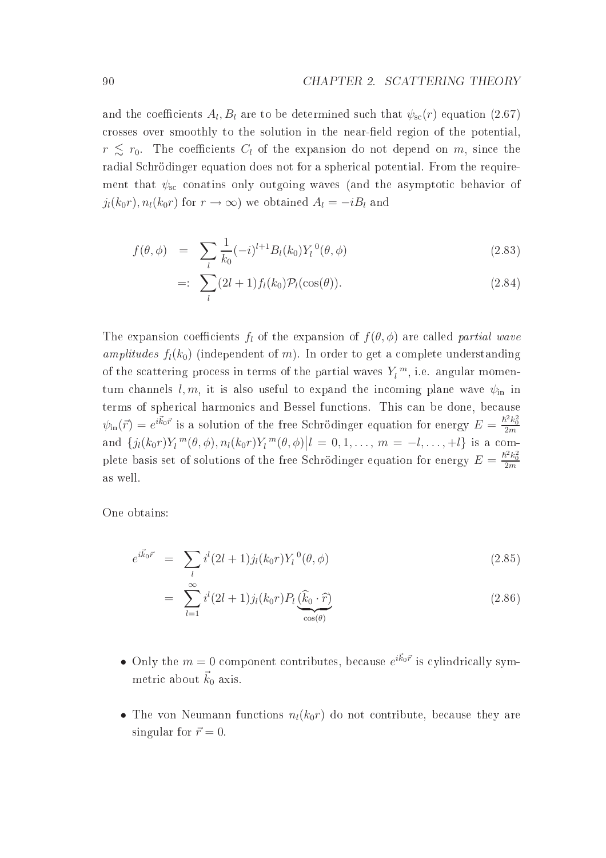and the coefficients  $A_l, B_l$  are to be determined such that  $\psi_\text{sc}(r)$  equation  $(2.67)$ crosses over smoothly to the solution in the near-field region of the potential.  $r \lesssim r_0$ . The coefficients  $C_l$  of the expansion do not depend on m, since the radial Schrödinger equation does not for a spherical potential. From the requirement that  $\psi_{\rm sc}$  conatins only outgoing waves (and the asymptotic behavior of  $j_l(k_0r), n_l(k_0r)$  for  $r \to \infty$ ) we obtained  $A_l = -iB_l$  and

$$
f(\theta,\phi) = \sum_{l} \frac{1}{k_0} (-i)^{l+1} B_l(k_0) Y_l^{0}(\theta,\phi)
$$
\n(2.83)

$$
=:\sum_{l}(2l+1)f_l(k_0)\mathcal{P}_l(\cos(\theta)).\tag{2.84}
$$

The expansion coefficients  $f_l$  of the expansion of  $f(\theta, \phi)$  are called partial wave amplitudes  $f_l(k_0)$  (independent of m). In order to get a complete understanding of the scattering process in terms of the partial waves  $Y_l^m$ , i.e. angular momentum channels  $l, m$ , it is also useful to expand the incoming plane wave  $\psi_{\text{in}}$  in terms of spherical harmonics and Bessel functions. This can be done, because  $\psi_{\rm in}(\vec{r}) = e^{i\vec{k}_0\vec{r}}$  is a solution of the free Schrödinger equation for energy  $E = \frac{\hbar^2 k_0^2}{2m}$ and  $\{j_l(k_0r)Y_l^m(\theta,\phi), n_l(k_0r)Y_l^m(\theta,\phi)\big| l=0,1,\ldots, m=-l,\ldots,+l\}$  is a complete basis set of solutions of the free Schrödinger equation for energy  $E = \frac{\hbar^2 k_0^2}{2m}$ as well.

One obtains:

$$
e^{i\vec{k}_0\vec{r}} = \sum_l i^l (2l+1) j_l (k_0 r) Y_l^0(\theta, \phi) \tag{2.85}
$$

$$
= \sum_{l=1}^{\infty} i^l (2l+1) j_l (k_0 r) P_l \underbrace{(\widehat{k}_0 \cdot \widehat{r})}_{\cos(\theta)} \tag{2.86}
$$

- Only the  $m = 0$  component contributes, because  $e^{i\vec{k}_0 \vec{r}}$  is cylindrically symmetric about  $\vec{k}_0$  axis.
- The von Neumann functions  $n_l(k_0r)$  do not contribute, because they are singular for  $\vec{r} = 0$ .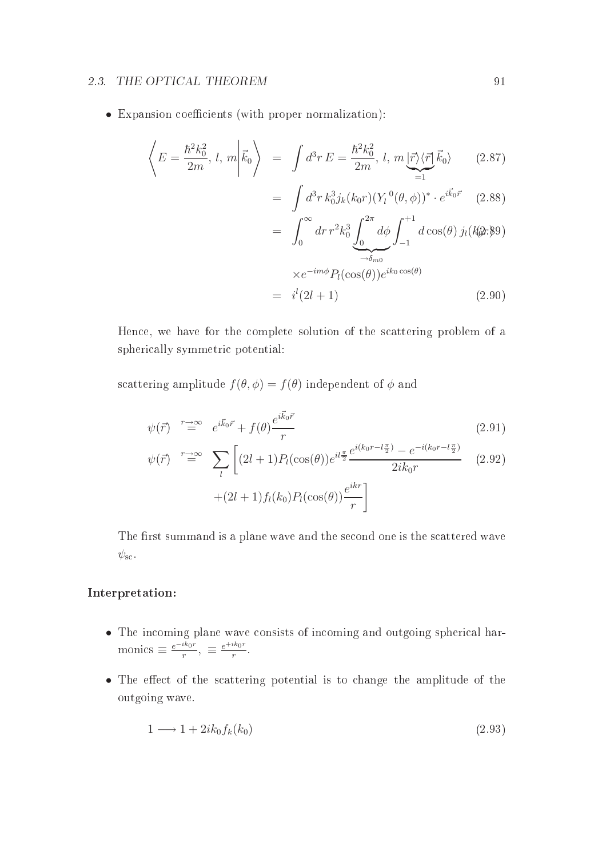#### 2.3. THE OPTICAL THEOREM 91

• Expansion coefficients (with proper normalization):

$$
\left\langle E = \frac{\hbar^2 k_0^2}{2m}, \, l, \, m \middle| \vec{k}_0 \right\rangle \ = \ \int d^3 r \, E = \frac{\hbar^2 k_0^2}{2m}, \, l, \, m \underbrace{|\vec{r}\rangle \langle \vec{r}|}_{=1} \vec{k}_0 \rangle \tag{2.87}
$$

$$
= \int d^3r \, k_0^3 j_k(k_0 r) (Y_l^0(\theta, \phi))^* \cdot e^{i\vec{k}_0 \vec{r}} \quad (2.88)
$$

$$
= \int_0^\infty dr \, r^2 k_0^3 \underbrace{\int_0^{2\pi} d\phi}_{\to \delta_{m0}} \int_{-1}^{+1} d\cos(\theta) \, j_l(k_0 x \cdot \xi)
$$

$$
\times e^{-im\phi} P_l(\cos(\theta)) e^{ik_0 \cos(\theta)}
$$
  
=  $i^l(2l+1)$  (2.90)

Hen
e, we have for the omplete solution of the s
attering problem of a spheri
ally symmetri potential:

scattering amplitude  $f(\theta, \phi) = f(\theta)$  independent of  $\phi$  and

$$
\psi(\vec{r}) \stackrel{r \to \infty}{=} e^{i\vec{k}_0 \vec{r}} + f(\theta) \frac{e^{i\vec{k}_0 \vec{r}}}{r} \tag{2.91}
$$

$$
\psi(\vec{r}) \stackrel{r \to \infty}{=} \sum_{l} \left[ (2l+1) P_l(\cos(\theta)) e^{il\frac{\pi}{2}} \frac{e^{i(k_0 r - l\frac{\pi}{2})} - e^{-i(k_0 r - l\frac{\pi}{2})}}{2ik_0 r} \right] \tag{2.92}
$$
\n
$$
+ (2l+1) f_l(k_0) P_l(\cos(\theta)) \frac{e^{ikr}}{r} \right]
$$

The first summand is a plane wave and the second one is the scattered wave  $\psi_{\text{sc}}$ .

#### Interpretation:

- $\bullet$  The incoming plane wave consists of incoming and outgoing spherical narmonics  $\equiv \frac{e^{-ik_0r}}{r}$  $\frac{i k_0 r}{r}$ ,  $\equiv \frac{e^{+ik_0 r}}{r}$ r .
- The effect of the scattering potential is to change the amplitude of the outgoing wave.

$$
1 \longrightarrow 1 + 2ik_0f_k(k_0) \tag{2.93}
$$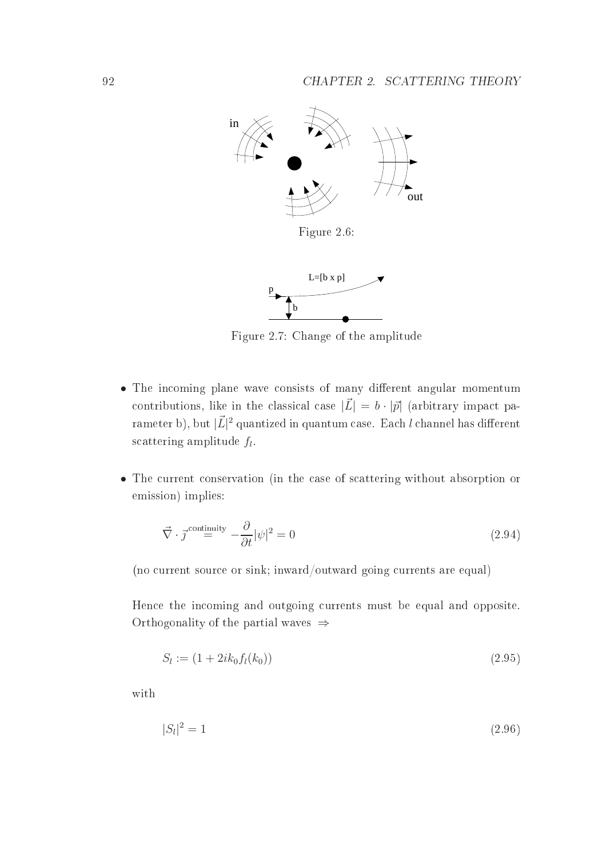

Figure 2.7: Change of the amplitude

- The incoming plane wave consists of many different angular momentum contributions, like in the classical case  $|\vec{L}| = b \cdot |\vec{p}|$  (arbitrary impact pa- $\mathop{\rm range}\nolimits(\mathbf{r}\, \mathbf{b}),$  but  $|\vec{L}|^2$  quantized in quantum case. Each  $l$  channel has different  $\text{scattering amplitude} \ f_l.$
- The current conservation (in the case of scattering without absorption or emission) implies:

$$
\vec{\nabla} \cdot \vec{j}^{\text{continuity}} = \frac{\partial}{\partial t} |\psi|^2 = 0 \tag{2.94}
$$

(no urrent sour
e or sink; inward/outward going urrents are equal)

Hence the incoming and outgoing currents must be equal and opposite. Orthogonality of the partial waves  $\Rightarrow$ 

$$
S_l := (1 + 2ik_0 f_l(k_0))
$$
\n(2.95)

with

$$
|S_l|^2 = 1 \t\t(2.96)
$$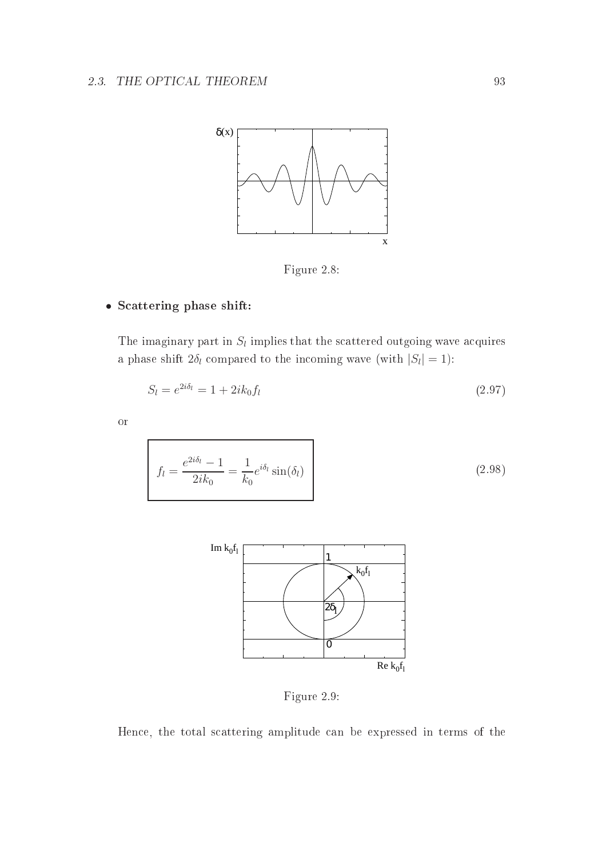

Figure 2.8:

#### • S
attering phase shift:

The imaginary part in  $S_l$  implies that the scattered outgoing wave acquires a phase shift  $2\delta_l$  compared to the incoming wave (with  $|S_l| = 1$ ):

$$
S_l = e^{2i\delta_l} = 1 + 2ik_0f_l \tag{2.97}
$$

or

$$
f_l = \frac{e^{2i\delta_l} - 1}{2ik_0} = \frac{1}{k_0} e^{i\delta_l} \sin(\delta_l)
$$
 (2.98)



Figure 2.9:

Hen
e, the total s
attering amplitude an be expressed in terms of the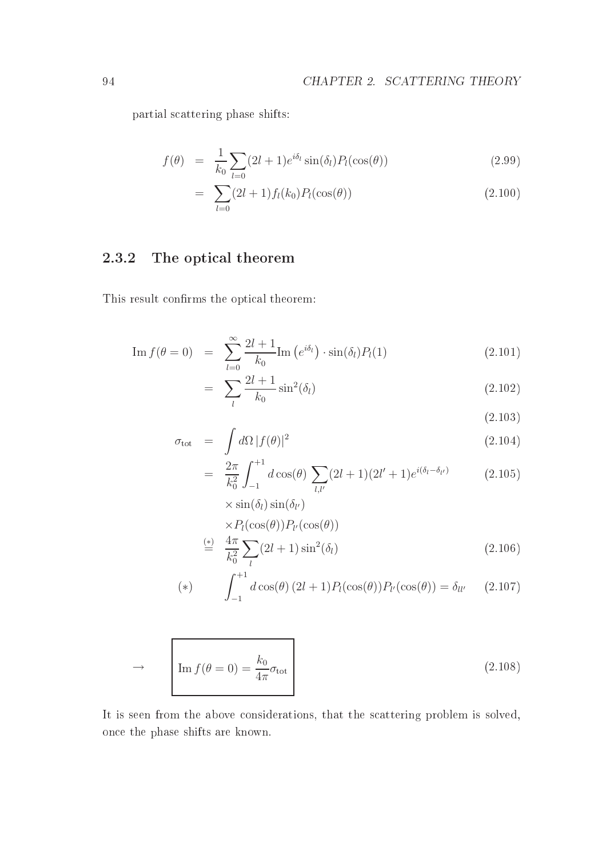partial s
attering phase shifts:

$$
f(\theta) = \frac{1}{k_0} \sum_{l=0} (2l+1) e^{i\delta_l} \sin(\delta_l) P_l(\cos(\theta)) \qquad (2.99)
$$

$$
= \sum_{l=0} (2l+1) f_l(k_0) P_l(\cos(\theta)) \tag{2.100}
$$

#### 2.3.2The opti
al theorem

This result confirms the optical theorem:

$$
\operatorname{Im} f(\theta = 0) = \sum_{l=0}^{\infty} \frac{2l+1}{k_0} \operatorname{Im} \left( e^{i\delta_l} \right) \cdot \sin(\delta_l) P_l(1) \tag{2.101}
$$

$$
= \sum_{l} \frac{2l+1}{k_0} \sin^2(\delta_l) \tag{2.102}
$$

 $(2.103)$ 

$$
\sigma_{\text{tot}} = \int d\Omega |f(\theta)|^2 \qquad (2.104)
$$

$$
= \frac{2\pi}{k_0^2} \int_{-1}^{+1} d\cos(\theta) \sum_{l,l'} (2l+1)(2l'+1) e^{i(\delta_l - \delta_{l'})} \tag{2.105}
$$

$$
\times \sin(\delta_l) \sin(\delta_{l'})
$$
  
\n
$$
\times P_l(\cos(\theta)) P_{l'}(\cos(\theta))
$$
  
\n
$$
\stackrel{(*)}{=} \frac{4\pi}{k_0^2} \sum_l (2l+1) \sin^2(\delta_l)
$$
 (2.106)

(\*) 
$$
\int_{-1}^{+1} d\cos(\theta) (2l+1) P_l(\cos(\theta)) P_{l'}(\cos(\theta)) = \delta_{ll'} \qquad (2.107)
$$

$$
\rightarrow \qquad \boxed{\text{Im } f(\theta = 0) = \frac{k_0}{4\pi} \sigma_{\text{tot}}}
$$
\n(2.108)

It is seen from the above considerations, that the scattering problem is solved, on
e the phase shifts are known.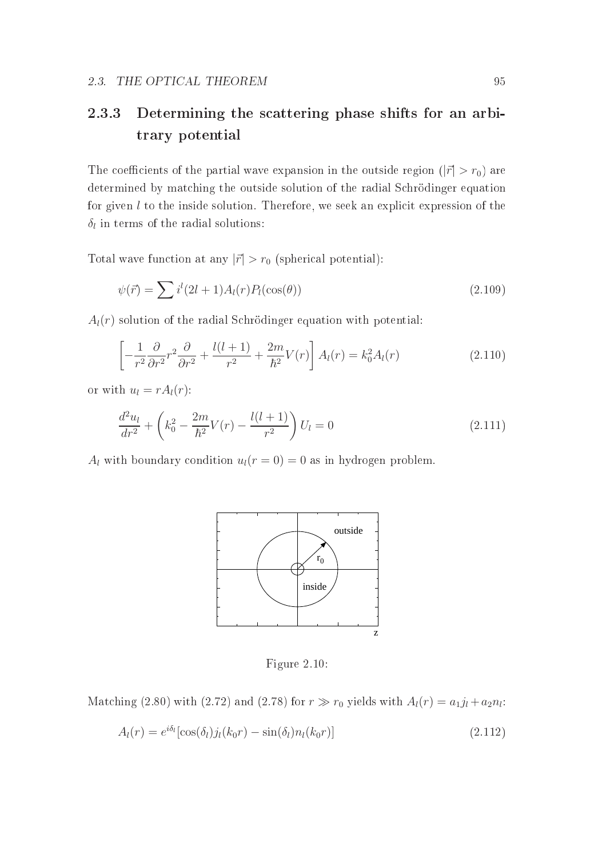#### 2.3.3 Determining the s
attering phase shifts for an arbitrary potential

The coefficients of the partial wave expansion in the outside region ( $|\vec{r}| > r_0$ ) are determined by matching the outside solution of the radial Schrödinger equation for given  $l$  to the inside solution. Therefore, we seek an explicit expression of the  $\delta_l$  in terms of the radial solutions:

Total wave function at any  $|\vec{r}| > r_0$  (spherical potential):

$$
\psi(\vec{r}) = \sum i^{l} (2l+1) A_{l}(r) P_{l}(\cos(\theta))
$$
\n(2.109)

 $A_l(r)$  solution of the radial Schrödinger equation with potential:

$$
\left[-\frac{1}{r^2}\frac{\partial}{\partial r^2}r^2\frac{\partial}{\partial r^2} + \frac{l(l+1)}{r^2} + \frac{2m}{\hbar^2}V(r)\right]A_l(r) = k_0^2A_l(r)
$$
\n(2.110)

or with  $u_l = rA_l(r)$ :

$$
\frac{d^2u_l}{dr^2} + \left(k_0^2 - \frac{2m}{\hbar^2}V(r) - \frac{l(l+1)}{r^2}\right)U_l = 0
$$
\n(2.111)

 $A_l$  with boundary condition  $u_l(r=0) = 0$  as in hydrogen problem.



Figure 2.10:

Matching (2.80) with (2.72) and (2.78) for  $r \gg r_0$  yields with  $A_l(r) = a_1 j_l + a_2 n_l$ :

$$
A_l(r) = e^{i\delta_l} [\cos(\delta_l) j_l(k_0 r) - \sin(\delta_l) n_l(k_0 r)] \qquad (2.112)
$$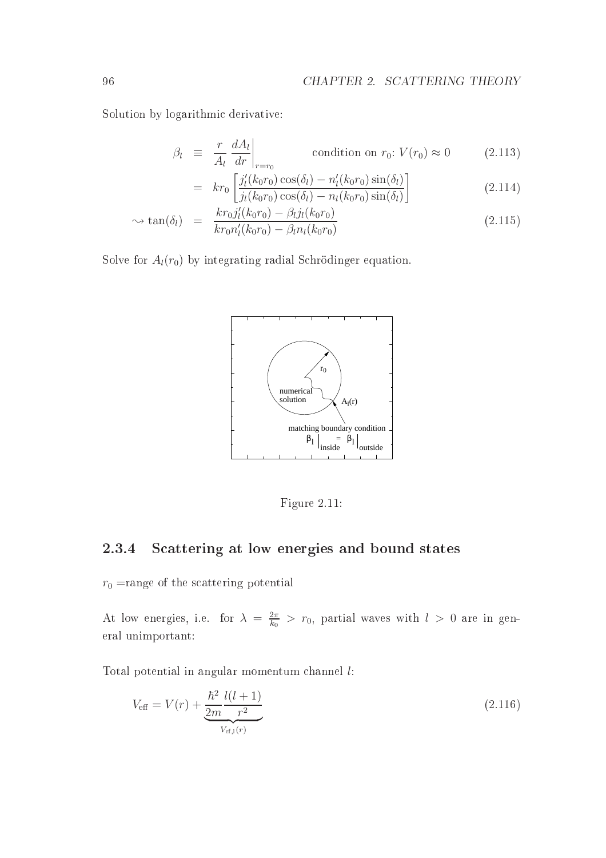Solution by logarithmi derivative:

$$
\beta_l \equiv \frac{r}{A_l} \frac{dA_l}{dr} \bigg|_{r=r_0} \qquad \text{condition on } r_0: V(r_0) \approx 0 \qquad (2.113)
$$

$$
= kr_0 \left[ \frac{j_l'(k_0 r_0) \cos(\delta_l) - n_l'(k_0 r_0) \sin(\delta_l)}{j_l(k_0 r_0) \cos(\delta_l) - n_l(k_0 r_0) \sin(\delta_l)} \right]
$$
(2.114)

$$
\sim \tan(\delta_l) = \frac{kr_0 j_l'(k_0 r_0) - \beta_l j_l(k_0 r_0)}{kr_0 n_l'(k_0 r_0) - \beta_l n_l(k_0 r_0)}
$$
(2.115)

Solve for  $A_l(r_0)$  by integrating radial Schrödinger equation.



Figure 2.11:

#### 2.3.4S
attering at low energies and bound states

 $r_0$  =range of the scattering potential

At low energies, i.e. for  $\lambda = \frac{2\pi}{k_0}$  $\frac{2\pi}{k_0}$  >  $r_0$ , partial waves with  $l > 0$  are in general unimportant:

Total potential in angular momentum hannel l:

$$
V_{\text{eff}} = V(r) + \underbrace{\frac{\hbar^2}{2m} \frac{l(l+1)}{r^2}}_{V_{\text{cf},l}(r)} \tag{2.116}
$$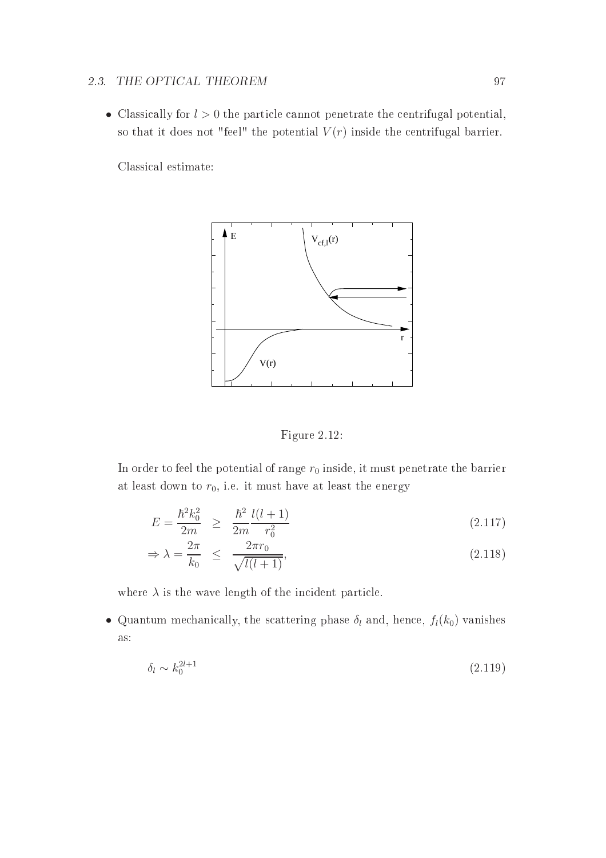## 2.3. THE OPTICAL THEOREM 97

• Classically for  $l > 0$  the particle cannot penetrate the centrifugal potential, so that it does not "feel" the potential  $V(r)$  inside the centrifugal barrier.

Classi
al estimate:



Figure 2.12:

In order to feel the potential of range  $r_0$  inside, it must penetrate the barrier at least down to  $r_0$ , i.e. it must have at least the energy

$$
E = \frac{\hbar^2 k_0^2}{2m} \ge \frac{\hbar^2}{2m} \frac{l(l+1)}{r_0^2} \tag{2.117}
$$

$$
\Rightarrow \lambda = \frac{2\pi}{k_0} \le \frac{2\pi r_0}{\sqrt{l(l+1)}},\tag{2.118}
$$

where  $\lambda$  is the wave length of the incident particle.

• Quantum mechanically, the scattering phase  $\delta_l$  and, hence,  $f_l(k_0)$  vanishes as:

$$
\delta_l \sim k_0^{2l+1} \tag{2.119}
$$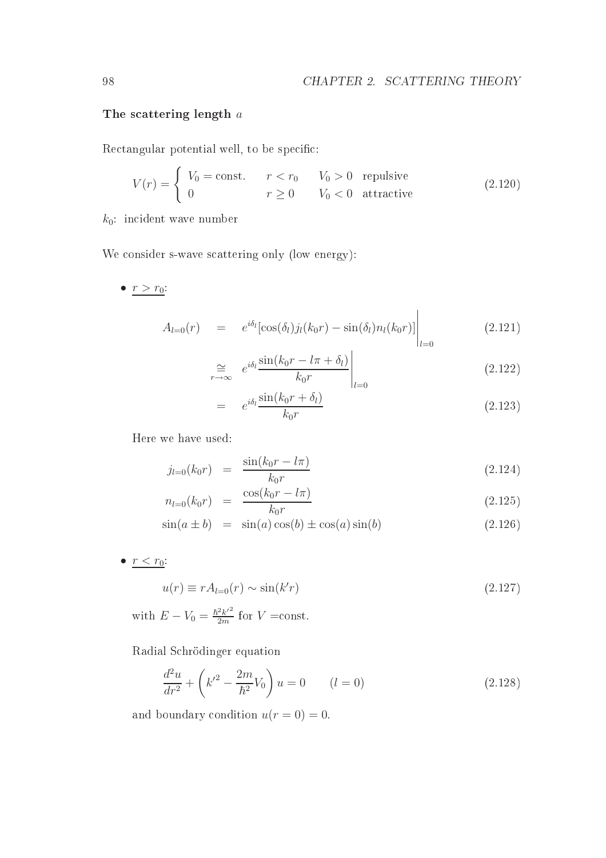#### The scattering length  $a$

Rectangular potential well, to be specific:

$$
V(r) = \begin{cases} V_0 = \text{const.} & r < r_0 \\ 0 & r \ge 0 \end{cases} \quad V_0 > 0 \quad \text{repulsive} \tag{2.120}
$$

 $k_0$ : incident wave number

We consider s-wave scattering only (low energy):

•  $r > r_0$ :

$$
A_{l=0}(r) = e^{i\delta_l} [\cos(\delta_l) j_l(k_0 r) - \sin(\delta_l) n_l(k_0 r)] \Big|_{l=0}
$$
 (2.121)

$$
\underset{r \to \infty}{\cong} e^{i\delta_l} \frac{\sin(k_0 r - l\pi + \delta_l)}{k_0 r} \bigg|_{l=0} \tag{2.122}
$$

$$
= e^{i\delta_l} \frac{\sin(k_0 r + \delta_l)}{k_0 r} \tag{2.123}
$$

Here we have used:

$$
j_{l=0}(k_0r) = \frac{\sin(k_0r - l\pi)}{k_0r}
$$
 (2.124)

$$
n_{l=0}(k_0 r) = \frac{\cos(k_0 r - l\pi)}{k_0 r}
$$
\n(2.125)

$$
\sin(a \pm b) = \sin(a)\cos(b) \pm \cos(a)\sin(b) \tag{2.126}
$$

•  $r < r_0$ :

$$
u(r) \equiv rA_{l=0}(r) \sim \sin(k'r) \tag{2.127}
$$

with  $E - V_0 = \frac{\hbar^2 k'^2}{2m}$  $\frac{2k^2}{2m}$  for  $V = \text{const.}$ 

Radial S
hrödinger equation

$$
\frac{d^2u}{dr^2} + \left(k'^2 - \frac{2m}{\hbar^2}V_0\right)u = 0 \qquad (l = 0)
$$
\n(2.128)

and boundary condition  $u(r = 0) = 0$ .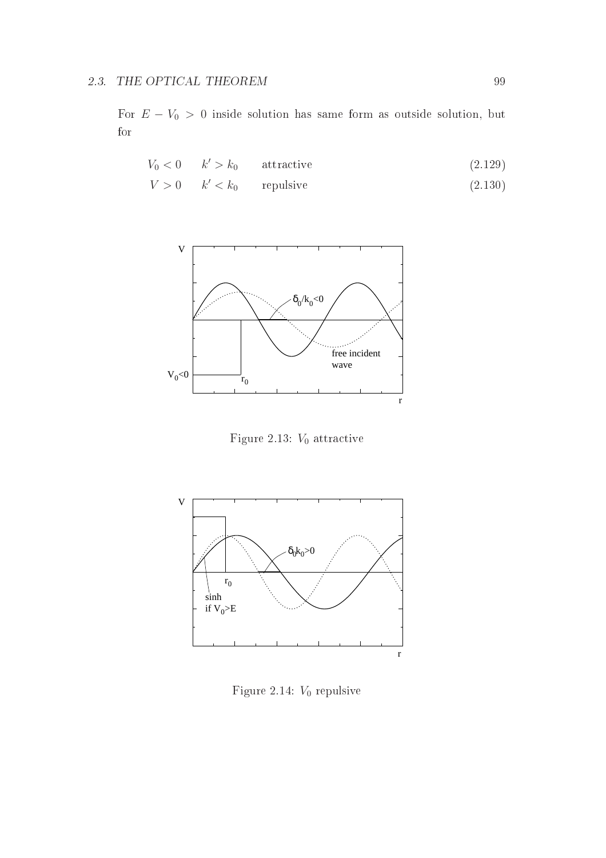For  $E - V_0 > 0$  inside solution has same form as outside solution, but for

$$
V_0 < 0 \qquad k' > k_0 \qquad \text{attractive} \tag{2.129}
$$

 $V > 0$   $k' < k_0$  repulsive (2.130)



Figure 2.13:  $V_0$  attractive



Figure 2.14:  $V_0$  repulsive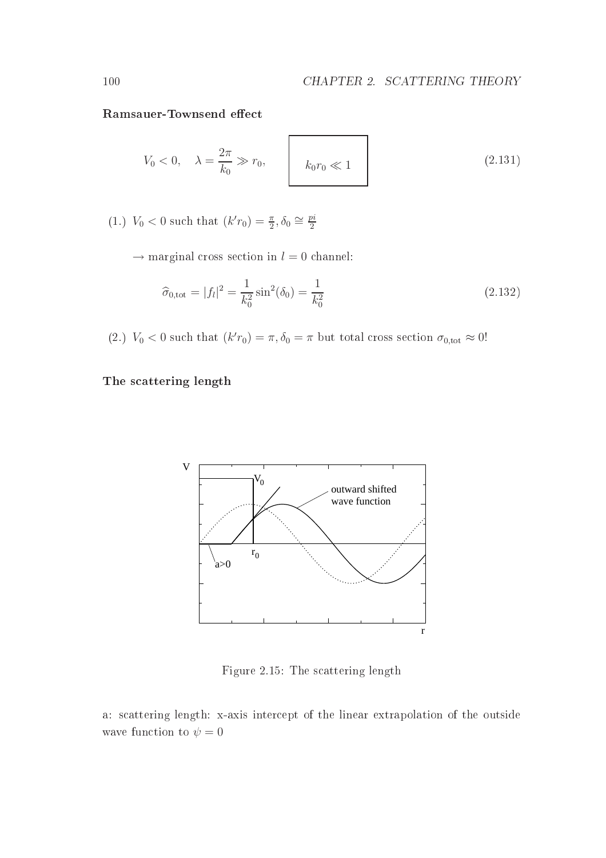$$
V_0 < 0, \quad \lambda = \frac{2\pi}{k_0} \gg r_0, \quad k_0 r_0 \ll 1 \tag{2.131}
$$

(1.)  $V_0 < 0$  such that  $(k' r_0) = \frac{\pi}{2}, \delta_0 \approx \frac{pi}{2}$ 2

 $\rightarrow$  marginal cross section in  $l = 0$  channel:

$$
\widehat{\sigma}_{0,\text{tot}} = |f_l|^2 = \frac{1}{k_0^2} \sin^2(\delta_0) = \frac{1}{k_0^2}
$$
\n(2.132)

(2.)  $V_0 < 0$  such that  $(k' r_0) = \pi, \delta_0 = \pi$  but total cross section  $\sigma_{0,\text{tot}} \approx 0!$ 

attering in the set of the set of the set of the set of the set of the set of the set of the set of the set of



Figure 2.15: The s
attering length

a: s
attering length: x-axis inter
ept of the linear extrapolation of the outside wave function to  $\psi = 0$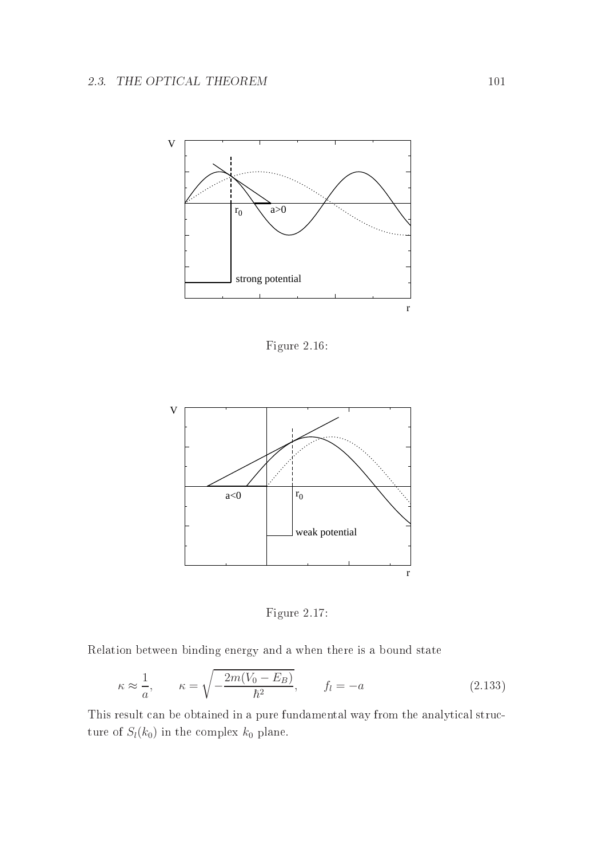

Figure 2.16:



Figure 2.17:

Relation between binding energy and a when there is a bound state

$$
\kappa \approx \frac{1}{a}, \qquad \kappa = \sqrt{-\frac{2m(V_0 - E_B)}{\hbar^2}}, \qquad f_l = -a \tag{2.133}
$$

This result can be obtained in a pure fundamental way from the analytical structure of  $S_l(k_0)$  in the complex  $k_0$  plane.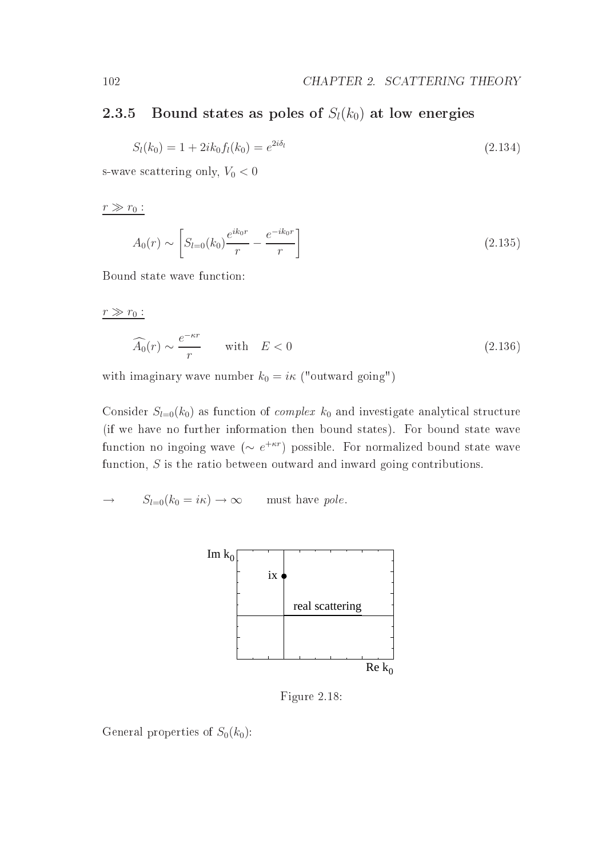#### 2.3.5Bound states as poles of  $S_l(k_0)$  at low energies

$$
S_l(k_0) = 1 + 2ik_0 f_l(k_0) = e^{2i\delta_l}
$$
\n(2.134)

s-wave scattering only,  $V_0 < 0$ 

 $r \gg r_0$  :

$$
A_0(r) \sim \left[ S_{l=0}(k_0) \frac{e^{ik_0r}}{r} - \frac{e^{-ik_0r}}{r} \right]
$$
 (2.135)

Bound state wave fun
tion:

 $r \gg r_0$ :

$$
\widehat{A_0}(r) \sim \frac{e^{-\kappa r}}{r} \qquad \text{with} \quad E < 0 \tag{2.136}
$$

with imaginary wave number  $k_0 = i\kappa$  ("outward going")

Consider  $S_{l=0}(k_0)$  as function of *complex*  $k_0$  and investigate analytical structure (if we have no further information then bound states). For bound state wave function no ingoing wave  $(\sim e^{+\kappa r})$  possible. For normalized bound state wave function, S is the ratio between outward and inward going contributions.

$$
\to \qquad S_{l=0}(k_0 = i\kappa) \to \infty \qquad \text{must have pole.}
$$



Figure 2.18:

General properties of  $S_0(k_0)$ :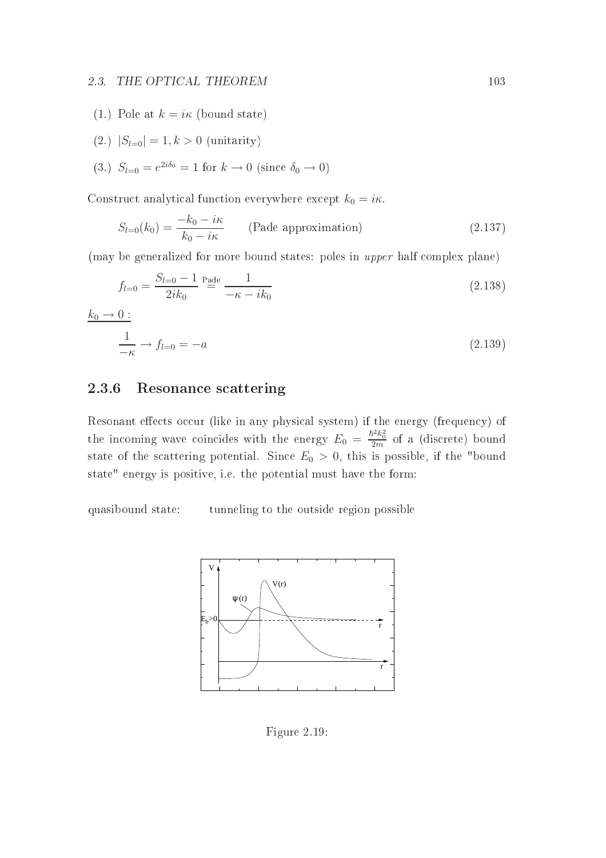#### 2.3. THE OPTICAL THEOREM 103

- (1.) Pole at  $k = i\kappa$  (bound state)
- (2.)  $|S_{l=0}| = 1, k > 0$  (unitarity)
- (3.)  $S_{l=0} = e^{2i\delta_0} = 1$  for  $k \to 0$  (since  $\delta_0 \to 0$ )

Construct analytical function everywhere except  $k_0 = i\kappa$ .

$$
S_{l=0}(k_0) = \frac{-k_0 - i\kappa}{k_0 - i\kappa}
$$
 (Pade approximation) \t(2.137)

(may be generalized for more bound states: poles in *upper* half complex plane)

$$
f_{l=0} = \frac{S_{l=0} - 1}{2ik_0} \stackrel{\text{Pade}}{=} \frac{1}{-\kappa - ik_0} \tag{2.138}
$$

$$
\frac{k_0 \to 0:}{\frac{1}{-\kappa}} \to f_{l=0} = -a
$$
\n(2.139)

#### 2.3.6Resonan
e s
attering

Resonant effects occur (like in any physical system) if the energy (frequency) of the incoming wave coincides with the energy  $E_0 = \frac{\hbar^2 k_0^2}{2m}$  of a (discrete) bound state of the scattering potential. Since  $E_0 > 0$ , this is possible, if the "bound state" energy is positive, i.e. the potential must have the form:

quasibound state: tunneling to the outside region possible



Figure 2.19: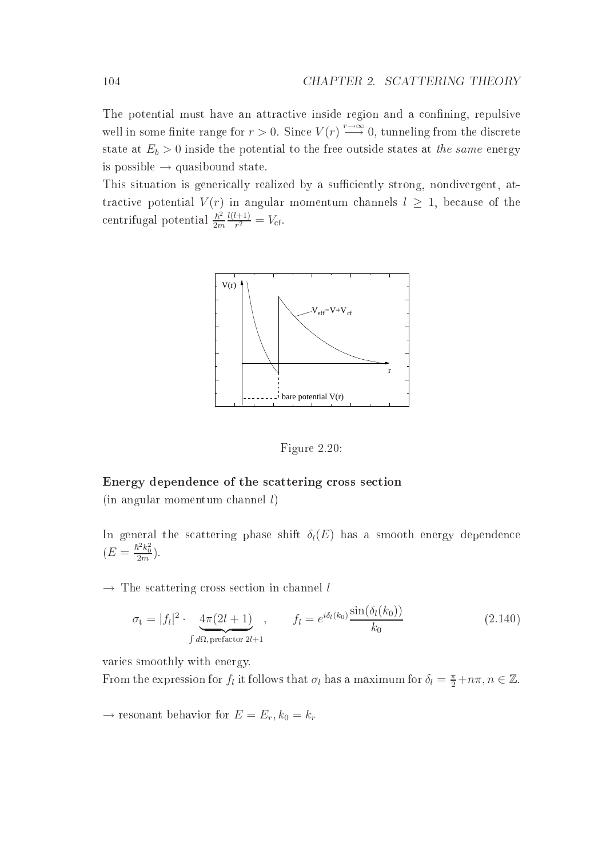The potential must have an attractive inside region and a confining, repulsive well in some finite range for  $r > 0$ . Since  $V(r) \stackrel{r \to \infty}{\longrightarrow} 0$ , tunneling from the discrete state at  $E_b > 0$  inside the potential to the free outside states at the same energy is possible  $\rightarrow$  quasibound state.

This situation is generically realized by a sufficiently strong, nondivergent, attractive potential  $V(r)$  in angular momentum channels  $l \geq 1$ , because of the centrifugal potential  $\frac{\hbar^2}{2}$ 2m  $l(l+1)$  $\frac{(-+1)}{r^2} = V_{\text{cf}}.$ 



Figure 2.20:

# e of the second contract of the second of the second contract of the second contract of the second contract of  $(in angular momentum channel l)$

In general the scattering phase shift  $\delta_l(E)$  has a smooth energy dependence  $(E = \frac{\hbar^2 k_0^2}{2m}).$ 

 $\rightarrow$  The scattering cross section in channel l

$$
\sigma_{t} = |f_{l}|^{2} \cdot \underbrace{4\pi(2l+1)}_{\int d\Omega, \text{ prefactor 2l+1}}, \qquad f_{l} = e^{i\delta_{l}(k_{0})} \frac{\sin(\delta_{l}(k_{0}))}{k_{0}} \tag{2.140}
$$

varies smoothly with energy.

From the expression for  $f_l$  it follows that  $\sigma_l$  has a maximum for  $\delta_l = \frac{\pi}{2} + n\pi, n \in \mathbb{Z}$ .

 $\rightarrow$  resonant behavior for  $E = E_r, k_0 = k_r$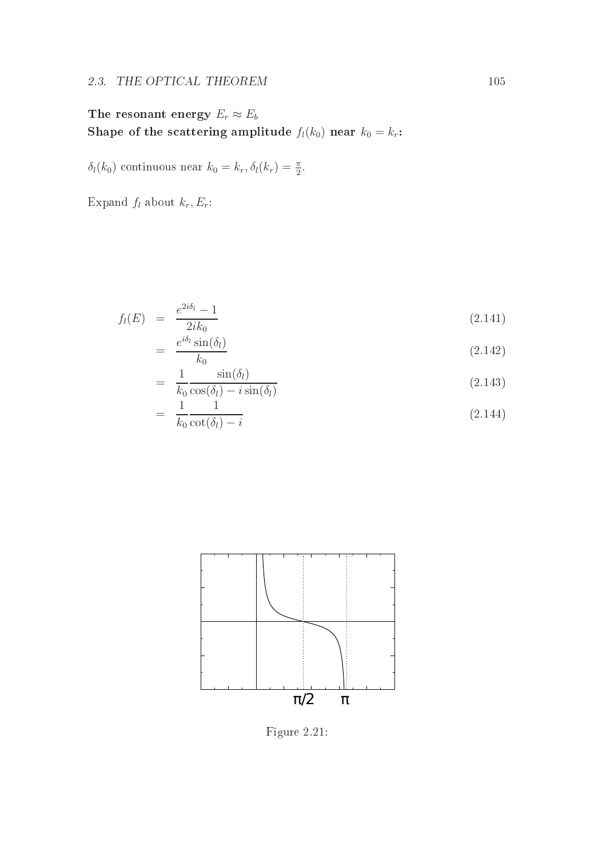## 2.3. THE OPTICAL THEOREM 105

The resonant energy  $E_r \approx E_b$ Shape of the scattering amplitude  $f_l(k_0)$  near  $k_0 = k_r$ :

 $\delta_l(k_0)$  continuous near  $k_0 = k_r, \delta_l(k_r) = \frac{\pi}{2}$ .

Expand  $f_l$  about  $k_r, E_r$ :

$$
f_l(E) = \frac{e^{2i\delta_l} - 1}{2ik_0} \tag{2.141}
$$

$$
= \frac{e^{i\delta_l}\sin(\delta_l)}{k_0} \tag{2.142}
$$

$$
= \frac{1}{k_0} \frac{\sin(\delta_l)}{\cos(\delta_l) - i \sin(\delta_l)} \tag{2.143}
$$

$$
= \frac{1}{k_0} \frac{1}{\cot(\delta_l) - i} \tag{2.144}
$$



Figure 2.21: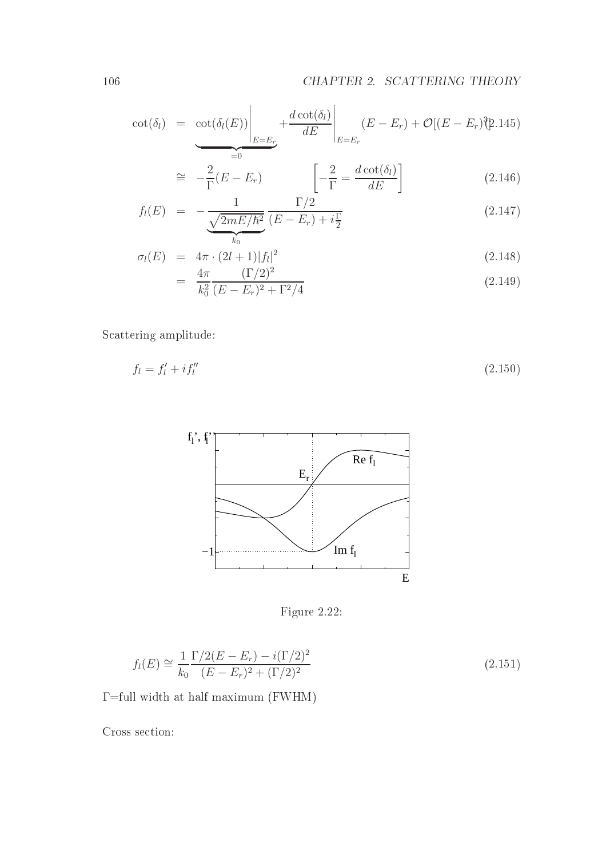$$
\cot(\delta_l) = \underbrace{\cot(\delta_l(E))}\Bigg|_{E=E_r} + \frac{d \cot(\delta_l)}{dE}\Bigg|_{E=E_r} (E - E_r) + \mathcal{O}[(E - E_r)^2].145)
$$

$$
\cong -\frac{2}{\Gamma}(E - E_r) \qquad \qquad \left[ -\frac{2}{\Gamma} = \frac{d \cot(\delta_l)}{dE} \right] \tag{2.146}
$$

$$
f_l(E) = -\frac{1}{\frac{\sqrt{2mE/\hbar^2}}{k_0}} \frac{\Gamma/2}{(E - E_r) + i\frac{\Gamma}{2}}
$$
(2.147)

$$
\sigma_l(E) = 4\pi \cdot (2l+1)|f_l|^2 \tag{2.148}
$$

$$
= \frac{4\pi}{k_0^2} \frac{(\Gamma/2)^2}{(E - E_r)^2 + \Gamma^2/4} \tag{2.149}
$$

S
attering amplitude:

$$
f_l = f'_l + i f''_l \tag{2.150}
$$



Figure 2.22:

$$
f_l(E) \cong \frac{1}{k_0} \frac{\Gamma/2(E - E_r) - i(\Gamma/2)^2}{(E - E_r)^2 + (\Gamma/2)^2}
$$
\n(2.151)

 $\Gamma$ =full width at half maximum (FWHM)

Cross section: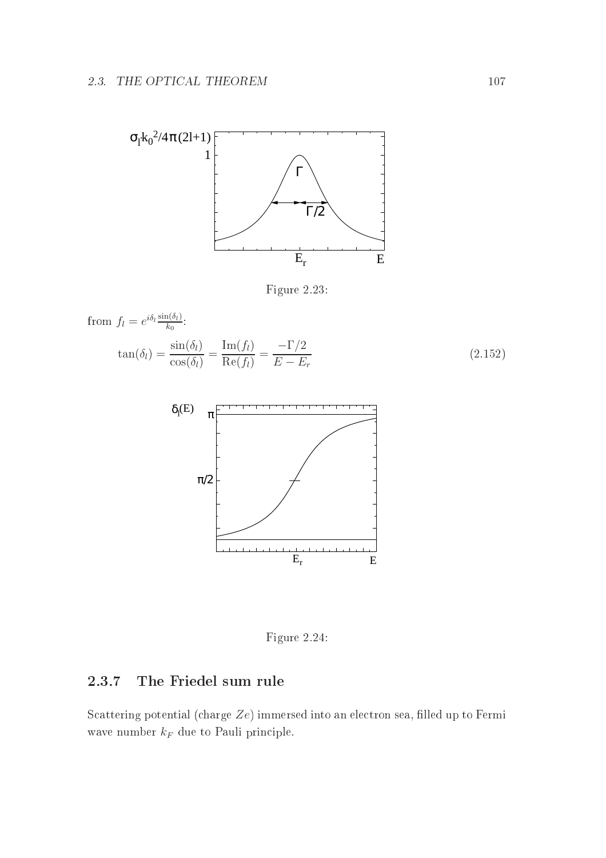

Figure 2.23:

from 
$$
f_l = e^{i\delta_l} \frac{\sin(\delta_l)}{k_0}
$$
:  
\n
$$
\tan(\delta_l) = \frac{\sin(\delta_l)}{\cos(\delta_l)} = \frac{\text{Im}(f_l)}{\text{Re}(f_l)} = \frac{-\Gamma/2}{E - E_r}
$$
\n(2.152)\n
$$
\delta_l(E) = \pi \sqrt{\frac{\text{Im}(E)}{\pi/2}}
$$

Figure 2.24:

 $E_r$  E

#### 2.3.7The Friedel sum rule

Scattering potential (charge  $Ze$ ) immersed into an electron sea, filled up to Fermi wave number  $k_F$  due to Pauli principle.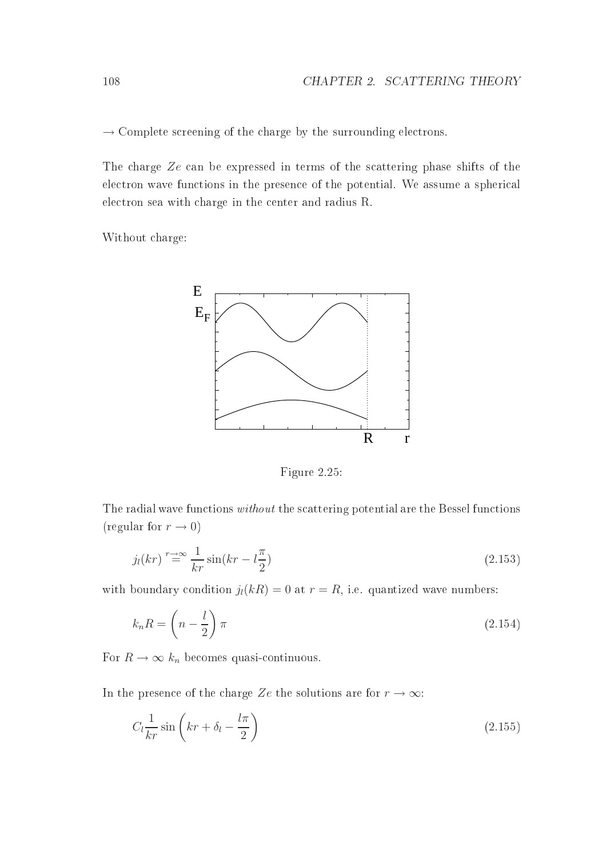$\rightarrow$  Complete screening of the charge by the surrounding electrons.

The charge Ze can be expressed in terms of the scattering phase shifts of the electron wave functions in the presence of the potential. We assume a spherical electron sea with charge in the center and radius R.

Without harge:



Figure 2.25:

The radial wave functions *without* the scattering potential are the Bessel functions (regular for  $r \to 0$ )

$$
j_l(kr) \stackrel{r \to \infty}{=} \frac{1}{kr} \sin(kr - l\frac{\pi}{2}) \tag{2.153}
$$

with boundary condition  $j_l(kR) = 0$  at  $r = R$ , i.e. quantized wave numbers:

$$
k_n R = \left(n - \frac{l}{2}\right)\pi\tag{2.154}
$$

For  $R \to \infty$   $k_n$  becomes quasi-continuous.

In the presence of the charge Ze the solutions are for  $r \to \infty$ :

$$
C_l \frac{1}{kr} \sin \left( kr + \delta_l - \frac{l\pi}{2} \right) \tag{2.155}
$$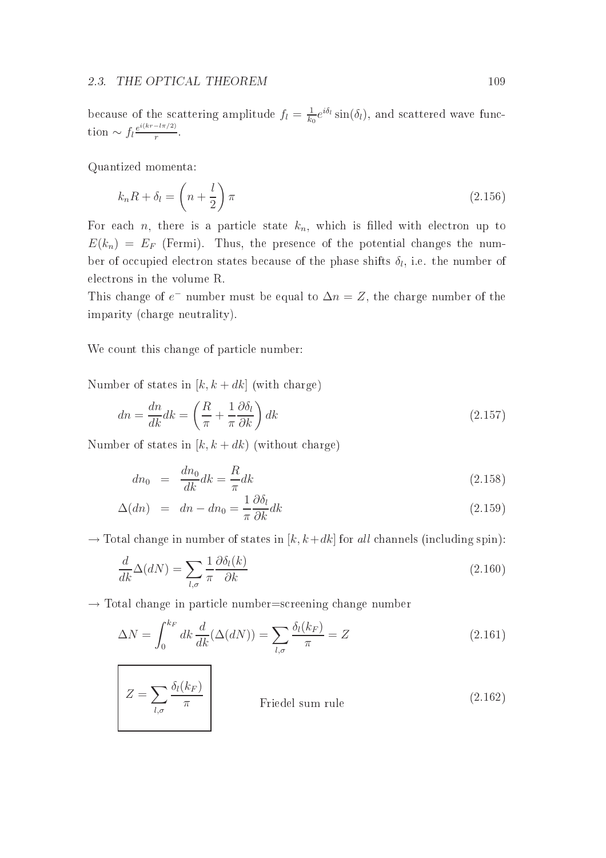because of the scattering amplitude  $f_l = \frac{1}{k}$  $\frac{1}{k_0}e^{i\delta_l} \sin(\delta_l)$ , and scattered wave function  $\sim f_l \frac{e^{i(kr - l\pi/2)}}{r}$ r .

Quantized momenta:

$$
k_n R + \delta_l = \left(n + \frac{l}{2}\right) \pi \tag{2.156}
$$

For each *n*, there is a particle state  $k_n$ , which is filled with electron up to  $E(k_n) = E_F$  (Fermi). Thus, the presence of the potential changes the number of occupied electron states because of the phase shifts  $\delta_l$ , i.e. the number of ele
trons in the volume R.

This change of  $e^-$  number must be equal to  $\Delta n = Z$ , the charge number of the imparity (
harge neutrality).

We count this change of particle number:

Number of states in  $[k, k+dk]$  (with charge)

$$
dn = \frac{dn}{dk} dk = \left(\frac{R}{\pi} + \frac{1}{\pi} \frac{\partial \delta_l}{\partial k}\right) dk
$$
\n(2.157)

Number of states in  $[k, k+dk)$  (without charge)

$$
dn_0 = \frac{dn_0}{dk} dk = \frac{R}{\pi} dk \qquad (2.158)
$$

$$
\Delta(dn) = dn - dn_0 = \frac{1}{\pi} \frac{\partial \delta_l}{\partial k} dk \tag{2.159}
$$

 $\rightarrow$  Total change in number of states in [k, k+dk] for all channels (including spin):

$$
\frac{d}{dk}\Delta(dN) = \sum_{l,\sigma} \frac{1}{\pi} \frac{\partial \delta_l(k)}{\partial k} \tag{2.160}
$$

 $\rightarrow$  Total change in particle number=screening change number

$$
\Delta N = \int_0^{k_F} dk \frac{d}{dk} (\Delta(dN)) = \sum_{l,\sigma} \frac{\delta_l(k_F)}{\pi} = Z \tag{2.161}
$$

 $Z=\sum$  $_{l,\sigma}$  $\delta_l(k_F)$ Friedel sum rule (2.162)